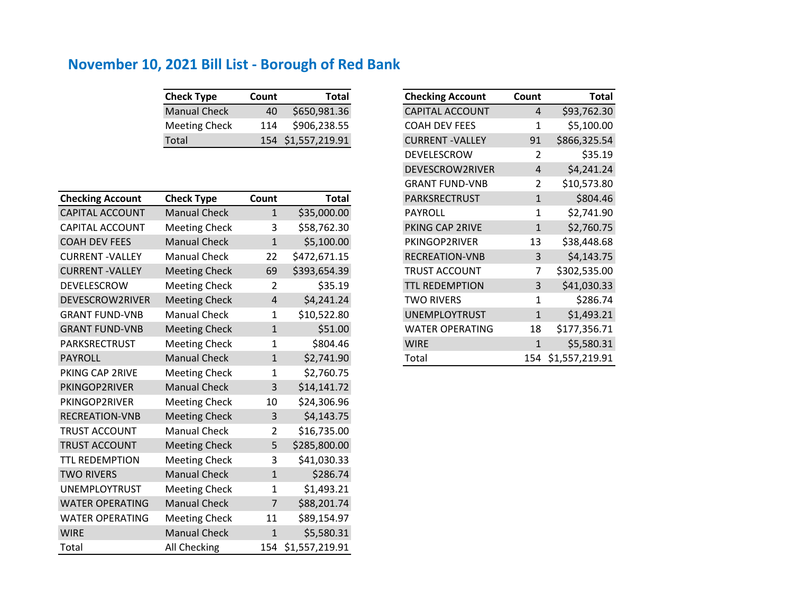| <b>Check Type</b>    | Count | <b>Total</b>       |
|----------------------|-------|--------------------|
| <b>Manual Check</b>  | 40    | \$650,981.36       |
| <b>Meeting Check</b> | 114   | \$906,238.55       |
| Total                |       | 154 \$1,557,219.91 |

| <b>Checking Account</b> | <b>Check Type</b>    | Count          | <b>Total</b>   |
|-------------------------|----------------------|----------------|----------------|
| <b>CAPITAL ACCOUNT</b>  | <b>Manual Check</b>  | $\mathbf{1}$   | \$35,000.00    |
| <b>CAPITAL ACCOUNT</b>  | <b>Meeting Check</b> | 3              | \$58,762.30    |
| <b>COAH DEV FEES</b>    | <b>Manual Check</b>  | $\mathbf{1}$   | \$5,100.00     |
| <b>CURRENT - VALLEY</b> | <b>Manual Check</b>  | 22             | \$472,671.15   |
| <b>CURRENT-VALLEY</b>   | <b>Meeting Check</b> | 69             | \$393,654.39   |
| DEVELESCROW             | <b>Meeting Check</b> | $\overline{2}$ | \$35.19        |
| DEVESCROW2RIVER         | <b>Meeting Check</b> | $\overline{4}$ | \$4,241.24     |
| <b>GRANT FUND-VNB</b>   | <b>Manual Check</b>  | 1              | \$10,522.80    |
| <b>GRANT FUND-VNB</b>   | <b>Meeting Check</b> | $\mathbf{1}$   | \$51.00        |
| PARKSRECTRUST           | <b>Meeting Check</b> | $\mathbf{1}$   | \$804.46       |
| <b>PAYROLL</b>          | <b>Manual Check</b>  | $\mathbf{1}$   | \$2,741.90     |
| PKING CAP 2RIVE         | <b>Meeting Check</b> | 1              | \$2,760.75     |
| PKINGOP2RIVER           | <b>Manual Check</b>  | 3              | \$14,141.72    |
| PKINGOP2RIVER           | <b>Meeting Check</b> | 10             | \$24,306.96    |
| RECREATION-VNB          | <b>Meeting Check</b> | 3              | \$4,143.75     |
| <b>TRUST ACCOUNT</b>    | <b>Manual Check</b>  | $\overline{2}$ | \$16,735.00    |
| <b>TRUST ACCOUNT</b>    | <b>Meeting Check</b> | 5              | \$285,800.00   |
| <b>TTL REDEMPTION</b>   | <b>Meeting Check</b> | 3              | \$41,030.33    |
| <b>TWO RIVERS</b>       | <b>Manual Check</b>  | $\mathbf{1}$   | \$286.74       |
| <b>UNEMPLOYTRUST</b>    | <b>Meeting Check</b> | 1              | \$1,493.21     |
| <b>WATER OPERATING</b>  | <b>Manual Check</b>  | 7              | \$88,201.74    |
| <b>WATER OPERATING</b>  | <b>Meeting Check</b> | 11             | \$89,154.97    |
| <b>WIRE</b>             | <b>Manual Check</b>  | $\mathbf{1}$   | \$5,580.31     |
| Total                   | All Checking         | 154            | \$1,557,219.91 |

| <b>Check Type</b>    | Count        | <b>Total</b>   | <b>Checking Account</b> | Count          | <b>Total</b>   |
|----------------------|--------------|----------------|-------------------------|----------------|----------------|
| <b>Manual Check</b>  | 40           | \$650,981.36   | <b>CAPITAL ACCOUNT</b>  | 4              | \$93,762.30    |
| <b>Meeting Check</b> | 114          | \$906,238.55   | <b>COAH DEV FEES</b>    | 1              | \$5,100.00     |
| Total                | 154          | \$1,557,219.91 | <b>CURRENT - VALLEY</b> | 91             | \$866,325.54   |
|                      |              |                | DEVELESCROW             | 2              | \$35.19        |
|                      |              |                | DEVESCROW2RIVER         | 4              | \$4,241.24     |
|                      |              |                | <b>GRANT FUND-VNB</b>   | $\overline{2}$ | \$10,573.80    |
| <b>Check Type</b>    | Count        | <b>Total</b>   | PARKSRECTRUST           | $\mathbf{1}$   | \$804.46       |
| <b>Manual Check</b>  | $\mathbf{1}$ | \$35,000.00    | PAYROLL                 | $\mathbf{1}$   | \$2,741.90     |
| <b>Meeting Check</b> | 3            | \$58,762.30    | PKING CAP 2RIVE         | $\mathbf{1}$   | \$2,760.75     |
| <b>Manual Check</b>  | $\mathbf{1}$ | \$5,100.00     | PKINGOP2RIVER           | 13             | \$38,448.68    |
| Manual Check         | 22           | \$472,671.15   | <b>RECREATION-VNB</b>   | 3              | \$4,143.75     |
| <b>Meeting Check</b> | 69           | \$393,654.39   | <b>TRUST ACCOUNT</b>    | 7              | \$302,535.00   |
| <b>Meeting Check</b> | 2            | \$35.19        | <b>TTL REDEMPTION</b>   | 3              | \$41,030.33    |
| <b>Meeting Check</b> | 4            | \$4,241.24     | TWO RIVERS              | 1              | \$286.74       |
| Manual Check         | 1            | \$10,522.80    | <b>UNEMPLOYTRUST</b>    | $\mathbf{1}$   | \$1,493.21     |
| <b>Meeting Check</b> | $\mathbf{1}$ | \$51.00        | <b>WATER OPERATING</b>  | 18             | \$177,356.71   |
| <b>Meeting Check</b> | 1            | \$804.46       | <b>WIRE</b>             | $\mathbf{1}$   | \$5,580.31     |
| <b>Manual Check</b>  | $\mathbf{1}$ | \$2,741.90     | Total                   | 154            | \$1,557,219.91 |
|                      |              |                |                         |                |                |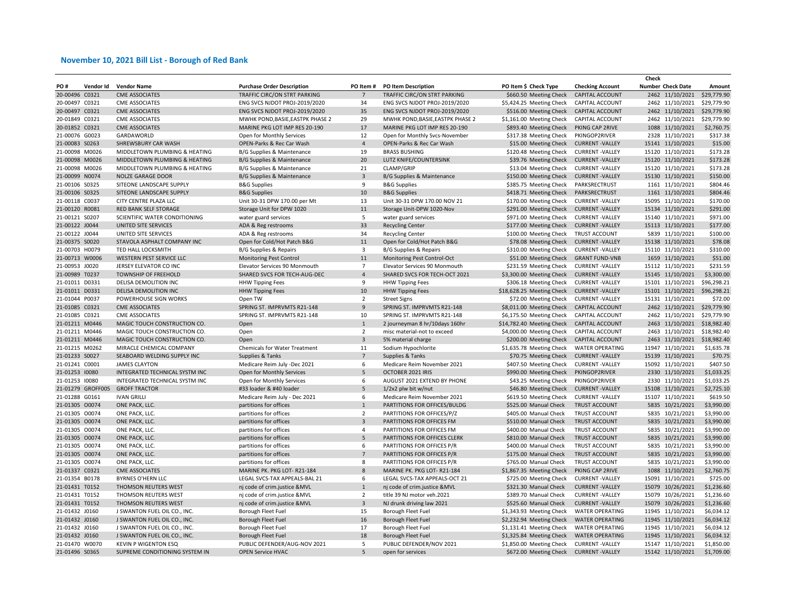|                |                   |                                |                                   |                |                                  |                           |                         | Check                    |             |
|----------------|-------------------|--------------------------------|-----------------------------------|----------------|----------------------------------|---------------------------|-------------------------|--------------------------|-------------|
| PO#            | Vendor Id         | <b>Vendor Name</b>             | <b>Purchase Order Description</b> | PO Item#       | <b>PO Item Description</b>       | PO Item \$ Check Type     | <b>Checking Account</b> | <b>Number Check Date</b> | Amount      |
| 20-00496 C0321 |                   | <b>CME ASSOCIATES</b>          | TRAFFIC CIRC/ON STRT PARKING      | $\overline{7}$ | TRAFFIC CIRC/ON STRT PARKING     | \$660.50 Meeting Check    | <b>CAPITAL ACCOUNT</b>  | 2462 11/10/2021          | \$29,779.90 |
| 20-00497 C0321 |                   | <b>CME ASSOCIATES</b>          | ENG SVCS NJDOT PROJ-2019/2020     | 34             | ENG SVCS NJDOT PROJ-2019/2020    | \$5,424.25 Meeting Check  | CAPITAL ACCOUNT         | 2462 11/10/2021          | \$29,779.90 |
| 20-00497 C0321 |                   | <b>CME ASSOCIATES</b>          | ENG SVCS NJDOT PROJ-2019/2020     | 35             | ENG SVCS NJDOT PROJ-2019/2020    | \$516.00 Meeting Check    | <b>CAPITAL ACCOUNT</b>  | 2462 11/10/2021          | \$29,779.90 |
| 20-01849 C0321 |                   | <b>CME ASSOCIATES</b>          | MWHK POND, BASIE, EASTPK PHASE 2  | 29             | MWHK POND, BASIE, EASTPK PHASE 2 | \$1,161.00 Meeting Check  | CAPITAL ACCOUNT         | 2462 11/10/2021          | \$29,779.90 |
| 20-01852 C0321 |                   | <b>CME ASSOCIATES</b>          | MARINE PKG LOT IMP RES 20-190     | 17             | MARINE PKG LOT IMP RES 20-190    | \$893.40 Meeting Check    | PKING CAP 2RIVE         | 1088 11/10/2021          | \$2,760.75  |
| 21-00076 G0023 |                   | GARDAWORLD                     | Open for Monthly Services         | 12             | Open for Monthly Svcs-November   | \$317.38 Meeting Check    | PKINGOP2RIVER           | 2328 11/10/2021          | \$317.38    |
| 21-00083 S0263 |                   | SHREWSBURY CAR WASH            | OPEN-Parks & Rec Car Wash         | $\overline{4}$ | OPEN-Parks & Rec Car Wash        | \$15.00 Meeting Check     | <b>CURRENT-VALLEY</b>   | 15141 11/10/2021         | \$15.00     |
| 21-00098 M0026 |                   | MIDDLETOWN PLUMBING & HEATING  | B/G Supplies & Maintenance        | 19             | <b>BRASS BUSHING</b>             | \$120.48 Meeting Check    | <b>CURRENT - VALLEY</b> | 15120 11/10/2021         | \$173.28    |
| 21-00098 M0026 |                   | MIDDLETOWN PLUMBING & HEATING  | B/G Supplies & Maintenance        | 20             | LUTZ KNIFE/COUNTERSINK           | \$39.76 Meeting Check     | <b>CURRENT-VALLEY</b>   | 15120 11/10/2021         | \$173.28    |
| 21-00098 M0026 |                   | MIDDLETOWN PLUMBING & HEATING  | B/G Supplies & Maintenance        | 21             | CLAMP/GRIP                       | \$13.04 Meeting Check     | <b>CURRENT -VALLEY</b>  | 15120 11/10/2021         | \$173.28    |
| 21-00099 N0074 |                   | NOLZE GARAGE DOOR              | B/G Supplies & Maintenance        | $\overline{3}$ | B/G Supplies & Maintenance       | \$150.00 Meeting Check    | <b>CURRENT-VALLEY</b>   | 15130 11/10/2021         | \$150.00    |
| 21-00106 S0325 |                   | SITEONE LANDSCAPE SUPPLY       | <b>B&amp;G Supplies</b>           | 9              | <b>B&amp;G Supplies</b>          | \$385.75 Meeting Check    | PARKSRECTRUST           | 1161 11/10/2021          | \$804.46    |
| 21-00106 S0325 |                   | SITEONE LANDSCAPE SUPPLY       | <b>B&amp;G Supplies</b>           | 10             | <b>B&amp;G Supplies</b>          | \$418.71 Meeting Check    | PARKSRECTRUST           | 1161 11/10/2021          | \$804.46    |
| 21-00118 C0037 |                   | CITY CENTRE PLAZA LLC          | Unit 30-31 DPW 170.00 per Mt      | 13             | Unit 30-31 DPW 170.00 NOV 21     | \$170.00 Meeting Check    | <b>CURRENT-VALLEY</b>   | 15095 11/10/2021         | \$170.00    |
| 21-00120 R0081 |                   | <b>RED BANK SELF STORAGE</b>   | Storage Unit for DPW 1020         | 11             | Storage Unit-DPW 1020-Nov        | \$291.00 Meeting Check    | <b>CURRENT-VALLEY</b>   | 15134 11/10/2021         | \$291.00    |
| 21-00121 S0207 |                   | SCIENTIFIC WATER CONDITIONING  | water guard services              | 5              | water guard services             | \$971.00 Meeting Check    | <b>CURRENT-VALLEY</b>   | 15140 11/10/2021         | \$971.00    |
| 21-00122 J0044 |                   | UNITED SITE SERVICES           | ADA & Reg restrooms               | 33             | <b>Recycling Center</b>          | \$177.00 Meeting Check    | <b>CURRENT-VALLEY</b>   | 15113 11/10/2021         | \$177.00    |
| 21-00122 J0044 |                   | UNITED SITE SERVICES           | ADA & Reg restrooms               | 34             | <b>Recycling Center</b>          | \$100.00 Meeting Check    | TRUST ACCOUNT           | 5839 11/10/2021          | \$100.00    |
| 21-00375 S0020 |                   | STAVOLA ASPHALT COMPANY INC    |                                   | 11             | Open for Cold/Hot Patch B&G      | \$78.08 Meeting Check     | <b>CURRENT-VALLEY</b>   | 15138 11/10/2021         | \$78.08     |
|                |                   |                                | Open for Cold/Hot Patch B&G       |                |                                  |                           |                         |                          |             |
| 21-00703 H0079 |                   | TED HALL LOCKSMITH             | B/G Supplies & Repairs            | 3              | B/G Supplies & Repairs           | \$310.00 Meeting Check    | <b>CURRENT - VALLEY</b> | 15110 11/10/2021         | \$310.00    |
| 21-00713 W0006 |                   | WESTERN PEST SERVICE LLC       | Monitoring Pest Control           | 11             | Monitoring Pest Control-Oct      | \$51.00 Meeting Check     | <b>GRANT FUND-VNB</b>   | 1659 11/10/2021          | \$51.00     |
| 21-00953 J0020 |                   | JERSEY ELEVATOR CO INC         | Elevator Services 90 Monmouth     | $\overline{7}$ | Elevator Services 90 Monmouth    | \$231.59 Meeting Check    | <b>CURRENT - VALLEY</b> | 15112 11/10/2021         | \$231.59    |
| 21-00989 T0237 |                   | <b>TOWNSHIP OF FREEHOLD</b>    | SHARED SVCS FOR TECH-AUG-DEC      | $\overline{4}$ | SHARED SVCS FOR TECH-OCT 2021    | \$3,300.00 Meeting Check  | <b>CURRENT-VALLEY</b>   | 15145 11/10/2021         | \$3,300.00  |
| 21-01011 D0331 |                   | DELISA DEMOLITION INC          | <b>HHW Tipping Fees</b>           | 9              | <b>HHW Tipping Fees</b>          | \$306.18 Meeting Check    | <b>CURRENT-VALLEY</b>   | 15101 11/10/2021         | \$96.298.21 |
| 21-01011 D0331 |                   | DELISA DEMOLITION INC          | <b>HHW Tipping Fees</b>           | 10             | <b>HHW Tipping Fees</b>          | \$18,628.25 Meeting Check | <b>CURRENT - VALLEY</b> | 15101 11/10/2021         | \$96,298.21 |
| 21-01044 P0037 |                   | POWERHOUSE SIGN WORKS          | Open TW                           | $\overline{2}$ | <b>Street Signs</b>              | \$72.00 Meeting Check     | <b>CURRENT-VALLEY</b>   | 15131 11/10/2021         | \$72.00     |
| 21-01085 C0321 |                   | <b>CME ASSOCIATES</b>          | SPRING ST. IMPRVMTS R21-148       | 9              | SPRING ST. IMPRVMTS R21-148      | \$8,011.00 Meeting Check  | CAPITAL ACCOUNT         | 2462 11/10/2021          | \$29,779.90 |
| 21-01085 C0321 |                   | <b>CME ASSOCIATES</b>          | SPRING ST. IMPRVMTS R21-148       | 10             | SPRING ST. IMPRVMTS R21-148      | \$6,175.50 Meeting Check  | CAPITAL ACCOUNT         | 2462 11/10/2021          | \$29,779.90 |
| 21-01211 M0446 |                   | MAGIC TOUCH CONSTRUCTION CO.   | Open                              | $\mathbf{1}$   | 2 journeyman 8 hr/10days 160hr   | \$14,782.40 Meeting Check | CAPITAL ACCOUNT         | 2463 11/10/2021          | \$18,982.40 |
| 21-01211 M0446 |                   | MAGIC TOUCH CONSTRUCTION CO.   | Open                              | $\overline{2}$ | misc material-not to exceed      | \$4,000.00 Meeting Check  | CAPITAL ACCOUNT         | 2463 11/10/2021          | \$18,982.40 |
| 21-01211 M0446 |                   | MAGIC TOUCH CONSTRUCTION CO.   | Open                              | $\overline{3}$ | 5% material charge               | \$200.00 Meeting Check    | CAPITAL ACCOUNT         | 2463 11/10/2021          | \$18,982.40 |
| 21-01215 M0262 |                   | MIRACLE CHEMICAL COMPANY       | Chemicals for Water Treatment     | 11             | Sodium Hypochlorite              | \$1,635.78 Meeting Check  | <b>WATER OPERATING</b>  | 11947 11/10/2021         | \$1,635.78  |
| 21-01233 S0027 |                   | SEABOARD WELDING SUPPLY INC    | Supplies & Tanks                  | $\overline{7}$ | Supplies & Tanks                 | \$70.75 Meeting Check     | <b>CURRENT-VALLEY</b>   | 15139 11/10/2021         | \$70.75     |
| 21-01241 C0001 |                   | <b>JAMES CLAYTON</b>           | Medicare Reim July -Dec 2021      | 6              | Medicare Reim November 2021      | \$407.50 Meeting Check    | <b>CURRENT - VALLEY</b> | 15092 11/10/2021         | \$407.50    |
| 21-01253 10080 |                   | INTEGRATED TECHNICAL SYSTM INC | Open for Monthly Services         | 5              | OCTOBER 2021 IRIS                | \$990.00 Meeting Check    | PKINGOP2RIVER           | 2330 11/10/2021          | \$1,033.25  |
| 21-01253 10080 |                   | INTEGRATED TECHNICAL SYSTM INC | Open for Monthly Services         | 6              | AUGUST 2021 EXTEND BY PHONE      | \$43.25 Meeting Check     | PKINGOP2RIVER           | 2330 11/10/2021          | \$1,033.25  |
|                | 21-01279 GROFF005 | <b>GROFF TRACTOR</b>           | #33 loader & #40 loader           | 5              | $1/2x2$ plw bit w/nut            | \$46.80 Meeting Check     | <b>CURRENT-VALLEY</b>   | 15108 11/10/2021         | \$2,725.10  |
| 21-01288 G0161 |                   | <b>IVAN GRILLI</b>             | Medicare Reim July - Dec 2021     | 6              | Medicare Reim November 2021      | \$619.50 Meeting Check    | <b>CURRENT-VALLEY</b>   | 15107 11/10/2021         | \$619.50    |
| 21-01305 00074 |                   | ONE PACK, LLC.                 | partitions for offices            | $\mathbf{1}$   | PARTITIONS FOR OFFICES/BULDG     | \$525.00 Manual Check     | TRUST ACCOUNT           | 5835 10/21/2021          | \$3,990.00  |
| 21-01305 00074 |                   | ONE PACK, LLC.                 | partitions for offices            | $\overline{2}$ | PARTITIONS FOR OFFICES/P/Z       | \$405.00 Manual Check     | TRUST ACCOUNT           | 5835 10/21/2021          | \$3,990.00  |
| 21-01305 00074 |                   | ONE PACK, LLC.                 | partitions for offices            | $\mathbf{3}$   | PARTITIONS FOR OFFICES FM        | \$510.00 Manual Check     | TRUST ACCOUNT           | 5835 10/21/2021          | \$3,990.00  |
| 21-01305 00074 |                   | ONE PACK, LLC.                 | partitions for offices            | $\overline{4}$ | PARTITIONS FOR OFFICES FM        | \$400.00 Manual Check     | TRUST ACCOUNT           | 5835 10/21/2021          | \$3,990.00  |
| 21-01305 00074 |                   | ONE PACK, LLC.                 | partitions for offices            | 5              | PARTITIONS FOR OFFICES CLERK     | \$810.00 Manual Check     | <b>TRUST ACCOUNT</b>    | 5835 10/21/2021          | \$3,990.00  |
| 21-01305 00074 |                   | ONE PACK, LLC.                 | partitions for offices            | 6              | PARTITIONS FOR OFFICES P/R       | \$400.00 Manual Check     | TRUST ACCOUNT           | 5835 10/21/2021          | \$3,990.00  |
| 21-01305 00074 |                   | ONE PACK, LLC.                 | partitions for offices            | $\overline{7}$ | PARTITIONS FOR OFFICES P/R       | \$175.00 Manual Check     | <b>TRUST ACCOUNT</b>    | 5835 10/21/2021          | \$3,990.00  |
| 21-01305 00074 |                   | ONE PACK, LLC.                 | partitions for offices            | 8              | PARTITIONS FOR OFFICES P/R       | \$765.00 Manual Check     | TRUST ACCOUNT           | 5835 10/21/2021          | \$3,990.00  |
| 21-01337 C0321 |                   | <b>CME ASSOCIATES</b>          | MARINE PK. PKG LOT-R21-184        | $\mathbf{8}$   | MARINE PK. PKG LOT-R21-184       | \$1,867.35 Meeting Check  | PKING CAP 2RIVE         | 1088 11/10/2021          | \$2,760.75  |
|                |                   |                                |                                   |                |                                  |                           |                         |                          |             |
| 21-01354 B0178 |                   | <b>BYRNES O'HERN LLC</b>       | LEGAL SVCS-TAX APPEALS-BAL 21     | 6              | LEGAL SVCS-TAX APPEALS-OCT 21    | \$725.00 Meeting Check    | <b>CURRENT-VALLEY</b>   | 15091 11/10/2021         | \$725.00    |
| 21-01431 T0152 |                   | THOMSON REUTERS WEST           | nj code of crim.justice &MVL      | $\mathbf{1}$   | nj code of crim.justice &MVL     | \$321.30 Manual Check     | <b>CURRENT-VALLEY</b>   | 15079 10/26/2021         | \$1,236.60  |
| 21-01431 T0152 |                   | THOMSON REUTERS WEST           | nj code of crim.justice &MVL      | 2              | title 39 NJ motor veh.2021       | \$389.70 Manual Check     | <b>CURRENT-VALLEY</b>   | 15079 10/26/2021         | \$1,236.60  |
| 21-01431 T0152 |                   | THOMSON REUTERS WEST           | nj code of crim.justice &MVL      | 3              | NJ drunk driving law 2021        | \$525.60 Manual Check     | <b>CURRENT-VALLEY</b>   | 15079 10/26/2021         | \$1,236.60  |
| 21-01432 J0160 |                   | J SWANTON FUEL OIL CO., INC.   | Borough Fleet Fuel                | 15             | Borough Fleet Fuel               | \$1,343.93 Meeting Check  | <b>WATER OPERATING</b>  | 11945 11/10/2021         | \$6,034.12  |
| 21-01432 J0160 |                   | J SWANTON FUEL OIL CO., INC.   | Borough Fleet Fuel                | 16             | Borough Fleet Fuel               | \$2,232.94 Meeting Check  | <b>WATER OPERATING</b>  | 11945 11/10/2021         | \$6,034.12  |
| 21-01432 J0160 |                   | J SWANTON FUEL OIL CO., INC.   | Borough Fleet Fuel                | 17             | Borough Fleet Fuel               | \$1,131.41 Meeting Check  | <b>WATER OPERATING</b>  | 11945 11/10/2021         | \$6,034.12  |
| 21-01432 J0160 |                   | J SWANTON FUEL OIL CO., INC.   | Borough Fleet Fuel                | 18             | Borough Fleet Fuel               | \$1,325.84 Meeting Check  | <b>WATER OPERATING</b>  | 11945 11/10/2021         | \$6,034.12  |
| 21-01470 W0070 |                   | <b>KEVIN P WIGENTON ESQ</b>    | PUBLIC DEFENDER/AUG-NOV 2021      | 5              | PUBLIC DEFENDER/NOV 2021         | \$1,850.00 Meeting Check  | <b>CURRENT -VALLEY</b>  | 15147 11/10/2021         | \$1,850.00  |
| 21-01496 S0365 |                   | SUPREME CONDITIONING SYSTEM IN | <b>OPEN Service HVAC</b>          | 5              | open for services                | \$672.00 Meeting Check    | <b>CURRENT - VALLEY</b> | 15142 11/10/2021         | \$1,709.00  |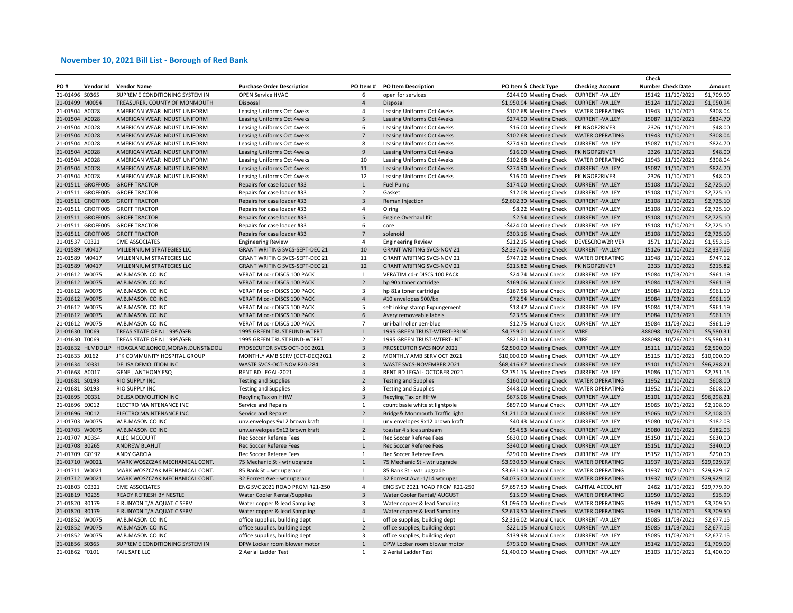|                |                   |                                    |                                       |                         |                                  |                           |                         | Check                    |             |
|----------------|-------------------|------------------------------------|---------------------------------------|-------------------------|----------------------------------|---------------------------|-------------------------|--------------------------|-------------|
| PO#            | Vendor Id         | <b>Vendor Name</b>                 | <b>Purchase Order Description</b>     | PO Item#                | <b>PO Item Description</b>       | PO Item \$ Check Type     | <b>Checking Account</b> | <b>Number Check Date</b> | Amount      |
| 21-01496 S0365 |                   | SUPREME CONDITIONING SYSTEM IN     | <b>OPEN Service HVAC</b>              | 6                       | open for services                | \$244.00 Meeting Check    | <b>CURRENT-VALLEY</b>   | 15142 11/10/2021         | \$1,709.00  |
| 21-01499 M0054 |                   | TREASURER, COUNTY OF MONMOUTH      | Disposal                              | $\overline{4}$          | Disposal                         | \$1,950.94 Meeting Check  | <b>CURRENT-VALLEY</b>   | 15124 11/10/2021         | \$1,950.94  |
| 21-01504 A0028 |                   | AMERICAN WEAR INDUST.UNIFORM       | Leasing Uniforms Oct 4weks            | $\overline{4}$          | Leasing Uniforms Oct 4weks       | \$102.68 Meeting Check    | <b>WATER OPERATING</b>  | 11943 11/10/2021         | \$308.04    |
| 21-01504 A0028 |                   | AMERICAN WEAR INDUST.UNIFORM       | Leasing Uniforms Oct 4weks            | $\overline{\mathbf{5}}$ | Leasing Uniforms Oct 4weks       | \$274.90 Meeting Check    | <b>CURRENT-VALLEY</b>   | 15087 11/10/2021         | \$824.70    |
| 21-01504 A0028 |                   | AMERICAN WEAR INDUST.UNIFORM       | Leasing Uniforms Oct 4weks            | 6                       | Leasing Uniforms Oct 4weks       | \$16.00 Meeting Check     | PKINGOP2RIVER           | 2326 11/10/2021          | \$48.00     |
| 21-01504 A0028 |                   | AMERICAN WEAR INDUST.UNIFORM       | Leasing Uniforms Oct 4weks            | $\overline{7}$          | Leasing Uniforms Oct 4weks       | \$102.68 Meeting Check    | <b>WATER OPERATING</b>  | 11943 11/10/2021         | \$308.04    |
| 21-01504 A0028 |                   | AMERICAN WEAR INDUST.UNIFORM       | Leasing Uniforms Oct 4weks            | 8                       | Leasing Uniforms Oct 4weks       | \$274.90 Meeting Check    | <b>CURRENT -VALLEY</b>  | 15087 11/10/2021         | \$824.70    |
| 21-01504 A0028 |                   | AMERICAN WEAR INDUST.UNIFORM       | Leasing Uniforms Oct 4weks            | 9                       | Leasing Uniforms Oct 4weks       | \$16.00 Meeting Check     | PKINGOP2RIVER           | 2326 11/10/2021          | \$48.00     |
| 21-01504 A0028 |                   | AMERICAN WEAR INDUST.UNIFORM       | Leasing Uniforms Oct 4weks            | 10                      | Leasing Uniforms Oct 4weks       | \$102.68 Meeting Check    | <b>WATER OPERATING</b>  | 11943 11/10/2021         | \$308.04    |
| 21-01504 A0028 |                   | AMERICAN WEAR INDUST.UNIFORM       | Leasing Uniforms Oct 4weks            | 11                      | Leasing Uniforms Oct 4weks       | \$274.90 Meeting Check    | <b>CURRENT-VALLEY</b>   | 15087 11/10/2021         | \$824.70    |
| 21-01504 A0028 |                   | AMERICAN WEAR INDUST.UNIFORM       | Leasing Uniforms Oct 4weks            | 12                      | Leasing Uniforms Oct 4weks       | \$16.00 Meeting Check     | PKINGOP2RIVER           | 2326 11/10/2021          | \$48.00     |
|                | 21-01511 GROFF005 | <b>GROFF TRACTOR</b>               | Repairs for case loader #33           | 1                       | Fuel Pump                        | \$174.00 Meeting Check    | <b>CURRENT-VALLEY</b>   | 15108 11/10/2021         | \$2,725.10  |
|                | 21-01511 GROFF005 | <b>GROFF TRACTOR</b>               | Repairs for case loader #33           | $\overline{2}$          | Gasket                           | \$12.08 Meeting Check     | <b>CURRENT-VALLEY</b>   | 15108 11/10/2021         | \$2,725.10  |
|                | 21-01511 GROFF005 |                                    |                                       | $\overline{3}$          |                                  |                           | <b>CURRENT - VALLEY</b> | 15108 11/10/2021         | \$2,725.10  |
|                |                   | <b>GROFF TRACTOR</b>               | Repairs for case loader #33           |                         | Reman Injection                  | \$2,602.30 Meeting Check  |                         |                          |             |
|                | 21-01511 GROFF005 | <b>GROFF TRACTOR</b>               | Repairs for case loader #33           | $\overline{4}$          | O ring                           | \$8.22 Meeting Check      | <b>CURRENT-VALLEY</b>   | 15108 11/10/2021         | \$2,725.10  |
|                | 21-01511 GROFF005 | <b>GROFF TRACTOR</b>               | Repairs for case loader #33           | 5                       | Engine Overhaul Kit              | \$2.54 Meeting Check      | <b>CURRENT-VALLEY</b>   | 15108 11/10/2021         | \$2,725.10  |
|                | 21-01511 GROFF005 | <b>GROFF TRACTOR</b>               | Repairs for case loader #33           | 6                       | core                             | -\$424.00 Meeting Check   | <b>CURRENT - VALLEY</b> | 15108 11/10/2021         | \$2,725.10  |
|                | 21-01511 GROFF005 | <b>GROFF TRACTOR</b>               | Repairs for case loader #33           | $\overline{7}$          | solenoid                         | \$303.16 Meeting Check    | <b>CURRENT-VALLEY</b>   | 15108 11/10/2021         | \$2,725.10  |
| 21-01537 C0321 |                   | <b>CME ASSOCIATES</b>              | <b>Engineering Review</b>             | $\overline{4}$          | <b>Engineering Review</b>        | \$212.15 Meeting Check    | DEVESCROW2RIVER         | 1571 11/10/2021          | \$1,553.15  |
| 21-01589 M0417 |                   | MILLENNIUM STRATEGIES LLC          | <b>GRANT WRITING SVCS-SEPT-DEC 21</b> | 10                      | <b>GRANT WRITING SVCS-NOV 21</b> | \$2,337.06 Meeting Check  | <b>CURRENT-VALLEY</b>   | 15126 11/10/2021         | \$2,337.06  |
| 21-01589 M0417 |                   | MILLENNIUM STRATEGIES LLC          | GRANT WRITING SVCS-SEPT-DEC 21        | 11                      | <b>GRANT WRITING SVCS-NOV 21</b> | \$747.12 Meeting Check    | <b>WATER OPERATING</b>  | 11948 11/10/2021         | \$747.12    |
| 21-01589 M0417 |                   | MILLENNIUM STRATEGIES LLC          | <b>GRANT WRITING SVCS-SEPT-DEC 21</b> | 12                      | <b>GRANT WRITING SVCS-NOV 21</b> | \$215.82 Meeting Check    | PKINGOP2RIVER           | 2333 11/10/2021          | \$215.82    |
| 21-01612 W0075 |                   | W.B.MASON CO INC                   | VERATIM cd-r DISCS 100 PACK           | 1                       | VERATIM cd-r DISCS 100 PACK      | \$24.74 Manual Check      | <b>CURRENT-VALLEY</b>   | 15084 11/03/2021         | \$961.19    |
| 21-01612 W0075 |                   | W.B.MASON CO INC                   | VERATIM cd-r DISCS 100 PACK           | $\overline{2}$          | hp 90a toner cartridge           | \$169.06 Manual Check     | <b>CURRENT-VALLEY</b>   | 15084 11/03/2021         | \$961.19    |
| 21-01612 W0075 |                   | W.B.MASON CO INC                   | VERATIM cd-r DISCS 100 PACK           | $\overline{3}$          | hp 81a toner cartridge           | \$167.56 Manual Check     | <b>CURRENT-VALLEY</b>   | 15084 11/03/2021         | \$961.19    |
| 21-01612 W0075 |                   | W.B.MASON CO INC                   | VERATIM cd-r DISCS 100 PACK           | $\overline{4}$          | #10 envelopes 500/bx             | \$72.54 Manual Check      | <b>CURRENT-VALLEY</b>   | 15084 11/03/2021         | \$961.19    |
| 21-01612 W0075 |                   | W.B.MASON CO INC                   | VERATIM cd-r DISCS 100 PACK           | 5                       | self inking stamp Expungement    | \$18.47 Manual Check      | <b>CURRENT-VALLEY</b>   | 15084 11/03/2021         | \$961.19    |
| 21-01612 W0075 |                   | W.B.MASON CO INC                   | VERATIM cd-r DISCS 100 PACK           | 6                       | Avery removeable labels          | \$23.55 Manual Check      | <b>CURRENT-VALLEY</b>   | 15084 11/03/2021         | \$961.19    |
| 21-01612 W0075 |                   | W.B.MASON CO INC                   | VERATIM cd-r DISCS 100 PACK           | $7\overline{ }$         | uni-ball roller pen-blue         | \$12.75 Manual Check      | <b>CURRENT-VALLEY</b>   | 15084 11/03/2021         | \$961.19    |
| 21-01630 T0069 |                   | TREAS.STATE OF NJ 1995/GFB         | 1995 GREEN TRUST FUND-WTFRT           | $\mathbf{1}$            | 1995 GREEN TRUST-WTFRT-PRINC     | \$4,759.01 Manual Check   | <b>WIRE</b>             | 888098 10/26/2021        | \$5,580.31  |
| 21-01630 T0069 |                   | TREAS.STATE OF NJ 1995/GFB         | 1995 GREEN TRUST FUND-WTFRT           | $\overline{2}$          | 1995 GREEN TRUST-WTFRT-INT       | \$821.30 Manual Check     | <b>WIRE</b>             | 888098 10/26/2021        | \$5,580.31  |
|                | 21-01632 HLMDDLLP | HOAGLAND, LONGO, MORAN, DUNST& DOU | PROSECUTOR SVCS OCT-DEC 2021          | $\overline{\mathbf{3}}$ | PROSECUTOR SVCS NOV 2021         | \$2,500.00 Meeting Check  | <b>CURRENT-VALLEY</b>   | 15111 11/10/2021         | \$2,500.00  |
| 21-01633 J0162 |                   | JFK COMMUNITY HOSPITAL GROUP       | MONTHLY AMB SERV (OCT-DEC)2021        | $\overline{2}$          | MONTHLY AMB SERV OCT 2021        | \$10,000.00 Meeting Check | <b>CURRENT-VALLEY</b>   | 15115 11/10/2021         | \$10,000.00 |
| 21-01634 D0331 |                   | DELISA DEMOLITION INC              | WASTE SVCS-OCT-NOV R20-284            | $\overline{\mathbf{3}}$ | WASTE SVCS-NOVEMBER 2021         | \$68,416.67 Meeting Check | <b>CURRENT-VALLEY</b>   | 15101 11/10/2021         | \$96,298.21 |
| 21-01668 A0017 |                   | <b>GENE J ANTHONY ESQ</b>          | RENT BD LEGAL-2021                    | $\overline{4}$          | RENT BD LEGAL- OCTOBER 2021      | \$2,751.15 Meeting Check  | <b>CURRENT-VALLEY</b>   | 15086 11/10/2021         | \$2,751.15  |
| 21-01681 S0193 |                   | <b>RIO SUPPLY INC</b>              | <b>Testing and Supplies</b>           | $\overline{2}$          | <b>Testing and Supplies</b>      | \$160.00 Meeting Check    | <b>WATER OPERATING</b>  | 11952 11/10/2021         | \$608.00    |
| 21-01681 S0193 |                   | <b>RIO SUPPLY INC</b>              | <b>Testing and Supplies</b>           | $\overline{\mathbf{3}}$ | <b>Testing and Supplies</b>      | \$448.00 Meeting Check    | <b>WATER OPERATING</b>  | 11952 11/10/2021         | \$608.00    |
| 21-01695 D0331 |                   | DELISA DEMOLITION INC              | Recyling Tax on HHW                   | $\overline{\mathbf{3}}$ | Recyling Tax on HHW              | \$675.06 Meeting Check    | <b>CURRENT-VALLEY</b>   | 15101 11/10/2021         | \$96,298.21 |
| 21-01696 E0012 |                   | ELECTRO MAINTENANCE INC            | Service and Repairs                   | 1                       | count basie white st lightpole   | \$897.00 Manual Check     | <b>CURRENT - VALLEY</b> | 15065 10/21/2021         | \$2,108.00  |
| 21-01696 E0012 |                   | ELECTRO MAINTENANCE INC            | Service and Repairs                   | $\overline{2}$          | Bridge& Monmouth Traffic light   | \$1,211.00 Manual Check   | <b>CURRENT-VALLEY</b>   | 15065 10/21/2021         | \$2,108.00  |
| 21-01703 W0075 |                   | W.B.MASON CO INC                   | unv.envelopes 9x12 brown kraft        | $\mathbf{1}$            | unv.envelopes 9x12 brown kraft   | \$40.43 Manual Check      | <b>CURRENT-VALLEY</b>   | 15080 10/26/2021         | \$182.03    |
| 21-01703 W0075 |                   | W.B.MASON CO INC                   | unv.envelopes 9x12 brown kraft        | $\overline{2}$          | toaster 4 slice sunbeam          | \$54.53 Manual Check      | <b>CURRENT-VALLEY</b>   | 15080 10/26/2021         | \$182.03    |
| 21-01707 A0354 |                   | ALEC MCCOURT                       | Rec Soccer Referee Fees               | $\mathbf{1}$            | Rec Soccer Referee Fees          | \$630.00 Meeting Check    | <b>CURRENT-VALLEY</b>   | 15150 11/10/2021         | \$630.00    |
|                |                   |                                    |                                       |                         |                                  |                           |                         |                          |             |
| 21-01708 B0265 |                   | ANDREW BLAHUT                      | Rec Soccer Referee Fees               | $\mathbf{1}$            | Rec Soccer Referee Fees          | \$340.00 Meeting Check    | <b>CURRENT-VALLEY</b>   | 15151 11/10/2021         | \$340.00    |
| 21-01709 G0192 |                   | <b>ANDY GARCIA</b>                 | Rec Soccer Referee Fees               | $\mathbf{1}$            | Rec Soccer Referee Fees          | \$290.00 Meeting Check    | <b>CURRENT-VALLEY</b>   | 15152 11/10/2021         | \$290.00    |
| 21-01710 W0021 |                   | MARK WOSZCZAK MECHANICAL CONT.     | 75 Mechanic St - wtr upgrade          | $\mathbf{1}$            | 75 Mechanic St - wtr upgrade     | \$3,930.50 Manual Check   | <b>WATER OPERATING</b>  | 11937 10/21/2021         | \$29,929.17 |
| 21-01711 W0021 |                   | MARK WOSZCZAK MECHANICAL CONT.     | 85 Bank St = wtr upgrade              | $\mathbf{1}$            | 85 Bank St - wtr upgrade         | \$3,631.90 Manual Check   | <b>WATER OPERATING</b>  | 11937 10/21/2021         | \$29,929.17 |
| 21-01712 W0021 |                   | MARK WOSZCZAK MECHANICAL CONT.     | 32 Forrest Ave - wtr upgrade          | 1                       | 32 Forrest Ave -1/14 wtr upgr    | \$4,075.00 Manual Check   | <b>WATER OPERATING</b>  | 11937 10/21/2021         | \$29,929.17 |
| 21-01803 C0321 |                   | <b>CME ASSOCIATES</b>              | ENG SVC 2021 ROAD PRGM R21-250        | $\overline{4}$          | ENG SVC 2021 ROAD PRGM R21-250   | \$7,657.50 Meeting Check  | CAPITAL ACCOUNT         | 2462 11/10/2021          | \$29,779.90 |
| 21-01819 R0235 |                   | READY REFRESH BY NESTLE            | Water Cooler Rental/Supplies          | $\overline{\mathbf{3}}$ | Water Cooler Rental/ AUGUST      | \$15.99 Meeting Check     | <b>WATER OPERATING</b>  | 11950 11/10/2021         | \$15.99     |
| 21-01820 R0179 |                   | E RUNYON T/A AQUATIC SERV          | Water copper & lead Sampling          | 3                       | Water copper & lead Sampling     | \$1,096.00 Meeting Check  | <b>WATER OPERATING</b>  | 11949 11/10/2021         | \$3,709.50  |
| 21-01820 R0179 |                   | E RUNYON T/A AQUATIC SERV          | Water copper & lead Sampling          | $\overline{4}$          | Water copper & lead Sampling     | \$2,613.50 Meeting Check  | <b>WATER OPERATING</b>  | 11949 11/10/2021         | \$3,709.50  |
| 21-01852 W0075 |                   | W.B.MASON CO INC                   | office supplies, building dept        | $\mathbf{1}$            | office supplies, building dept   | \$2,316.02 Manual Check   | <b>CURRENT-VALLEY</b>   | 15085 11/03/2021         | \$2,677.15  |
| 21-01852 W0075 |                   | W.B.MASON CO INC                   | office supplies, building dept        | $\overline{2}$          | office supplies, building dept   | \$221.15 Manual Check     | <b>CURRENT-VALLEY</b>   | 15085 11/03/2021         | \$2,677.15  |
| 21-01852 W0075 |                   | W.B.MASON CO INC                   | office supplies, building dept        | 3                       | office supplies, building dept   | \$139.98 Manual Check     | <b>CURRENT-VALLEY</b>   | 15085 11/03/2021         | \$2,677.15  |
| 21-01856 S0365 |                   | SUPREME CONDITIONING SYSTEM IN     | DPW Locker room blower motor          | $\mathbf{1}$            | DPW Locker room blower motor     | \$793.00 Meeting Check    | <b>CURRENT - VALLEY</b> | 15142 11/10/2021         | \$1,709.00  |
| 21-01862 F0101 |                   | <b>FAIL SAFE LLC</b>               | 2 Aerial Ladder Test                  | 1                       | 2 Aerial Ladder Test             | \$1,400.00 Meeting Check  | <b>CURRENT-VALLEY</b>   | 15103 11/10/2021         | \$1,400.00  |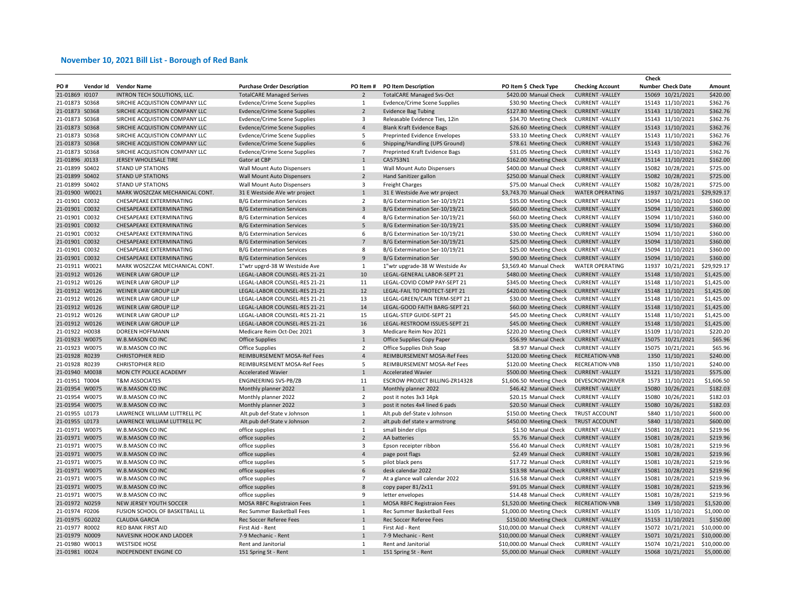|                |           |                                |                                     |                         |                                   |                          |                         | Check                    |             |
|----------------|-----------|--------------------------------|-------------------------------------|-------------------------|-----------------------------------|--------------------------|-------------------------|--------------------------|-------------|
| PO#            | Vendor Id | <b>Vendor Name</b>             | <b>Purchase Order Description</b>   | PO Item#                | <b>PO Item Description</b>        | PO Item \$ Check Type    | <b>Checking Account</b> | <b>Number Check Date</b> | Amount      |
| 21-01869 10107 |           | INTRON TECH SOLUTIONS, LLC.    | <b>TotalCARE Managed Serives</b>    | $\overline{2}$          | <b>TotalCARE Managed Svs-Oct</b>  | \$420.00 Manual Check    | <b>CURRENT-VALLEY</b>   | 15069 10/21/2021         | \$420.00    |
| 21-01873 S0368 |           | SIRCHIE ACQUISTION COMPANY LLC | Evdence/Crime Scene Supplies        | $\mathbf{1}$            | Evdence/Crime Scene Supplies      | \$30.90 Meeting Check    | <b>CURRENT-VALLEY</b>   | 15143 11/10/2021         | \$362.76    |
| 21-01873 S0368 |           | SIRCHIE ACQUISTION COMPANY LLC | <b>Evdence/Crime Scene Supplies</b> | $\overline{2}$          | <b>Evidence Bag Tubing</b>        | \$127.80 Meeting Check   | <b>CURRENT-VALLEY</b>   | 15143 11/10/2021         | \$362.76    |
| 21-01873 S0368 |           | SIRCHIE ACQUISTION COMPANY LLC | <b>Evdence/Crime Scene Supplies</b> | $\overline{\mathbf{3}}$ | Releasable Evidence Ties, 12in    | \$34.70 Meeting Check    | <b>CURRENT-VALLEY</b>   | 15143 11/10/2021         | \$362.76    |
| 21-01873 S0368 |           | SIRCHIE ACQUISTION COMPANY LLC | <b>Evdence/Crime Scene Supplies</b> | $\overline{4}$          | <b>Blank Kraft Evidence Bags</b>  | \$26.60 Meeting Check    | <b>CURRENT-VALLEY</b>   | 15143 11/10/2021         | \$362.76    |
| 21-01873 S0368 |           | SIRCHIE ACQUISTION COMPANY LLC | Evdence/Crime Scene Supplies        | 5                       | Preprinted Evidence Envelopes     | \$33.10 Meeting Check    | <b>CURRENT-VALLEY</b>   | 15143 11/10/2021         | \$362.76    |
| 21-01873 S0368 |           | SIRCHIE ACQUISTION COMPANY LLC | Evdence/Crime Scene Supplies        | $\,6\,$                 | Shipping/Handling (UPS Ground)    | \$78.61 Meeting Check    | <b>CURRENT-VALLEY</b>   | 15143 11/10/2021         | \$362.76    |
| 21-01873 S0368 |           | SIRCHIE ACQUISTION COMPANY LLC | Evdence/Crime Scene Supplies        | $\overline{7}$          | Preprinted Kraft Evidence Bags    | \$31.05 Meeting Check    | <b>CURRENT -VALLEY</b>  | 15143 11/10/2021         | \$362.76    |
| 21-01896 J0133 |           | JERSEY WHOLESALE TIRE          | Gator at CBP                        | $\mathbf{1}$            | CA5753N1                          | \$162.00 Meeting Check   | <b>CURRENT-VALLEY</b>   | 15114 11/10/2021         | \$162.00    |
| 21-01899 S0402 |           | <b>STAND UP STATIONS</b>       | Wall Mount Auto Dispensers          | 1                       | Wall Mount Auto Dispensers        | \$400.00 Manual Check    | <b>CURRENT-VALLEY</b>   | 15082 10/28/2021         | \$725.00    |
| 21-01899 S0402 |           | <b>STAND UP STATIONS</b>       | Wall Mount Auto Dispensers          | $\overline{2}$          | Hand Sanitizer gallon             | \$250.00 Manual Check    | <b>CURRENT-VALLEY</b>   | 15082 10/28/2021         | \$725.00    |
| 21-01899 S0402 |           | <b>STAND UP STATIONS</b>       | Wall Mount Auto Dispensers          | $\overline{3}$          | <b>Freight Charges</b>            | \$75.00 Manual Check     | <b>CURRENT-VALLEY</b>   | 15082 10/28/2021         | \$725.00    |
| 21-01900 W0021 |           | MARK WOSZCZAK MECHANICAL CONT. | 31 E Westside AVe wtr project       | $\mathbf{1}$            | 31 E Westside Ave wtr project     | \$3,743.70 Manual Check  | <b>WATER OPERATING</b>  | 11937 10/21/2021         | \$29,929.17 |
|                |           |                                |                                     | $\overline{2}$          |                                   |                          |                         |                          |             |
| 21-01901 C0032 |           | CHESAPEAKE EXTERMINATING       | <b>B/G Extermination Services</b>   |                         | B/G Extermination Ser-10/19/21    | \$35.00 Meeting Check    | <b>CURRENT-VALLEY</b>   | 15094 11/10/2021         | \$360.00    |
| 21-01901 C0032 |           | CHESAPEAKE EXTERMINATING       | <b>B/G Extermination Services</b>   | $\overline{3}$          | B/G Extermination Ser-10/19/21    | \$60.00 Meeting Check    | <b>CURRENT-VALLEY</b>   | 15094 11/10/2021         | \$360.00    |
| 21-01901 C0032 |           | CHESAPEAKE EXTERMINATING       | <b>B/G Extermination Services</b>   | $\overline{4}$          | B/G Extermination Ser-10/19/21    | \$60.00 Meeting Check    | <b>CURRENT-VALLEY</b>   | 15094 11/10/2021         | \$360.00    |
| 21-01901 C0032 |           | CHESAPEAKE EXTERMINATING       | <b>B/G Extermination Services</b>   | $\sqrt{5}$              | B/G Extermination Ser-10/19/21    | \$35.00 Meeting Check    | <b>CURRENT-VALLEY</b>   | 15094 11/10/2021         | \$360.00    |
| 21-01901 C0032 |           | CHESAPEAKE EXTERMINATING       | <b>B/G Extermination Services</b>   | 6                       | B/G Extermination Ser-10/19/21    | \$30.00 Meeting Check    | <b>CURRENT-VALLEY</b>   | 15094 11/10/2021         | \$360.00    |
| 21-01901 C0032 |           | CHESAPEAKE EXTERMINATING       | <b>B/G Extermination Services</b>   | $\overline{7}$          | B/G Extermination Ser-10/19/21    | \$25.00 Meeting Check    | <b>CURRENT-VALLEY</b>   | 15094 11/10/2021         | \$360.00    |
| 21-01901 C0032 |           | CHESAPEAKE EXTERMINATING       | <b>B/G Extermination Services</b>   | 8                       | B/G Extermination Ser-10/19/21    | \$25.00 Meeting Check    | <b>CURRENT -VALLEY</b>  | 15094 11/10/2021         | \$360.00    |
| 21-01901 C0032 |           | CHESAPEAKE EXTERMINATING       | <b>B/G Extermination Services</b>   | 9                       | <b>B/G Extermination Ser</b>      | \$90.00 Meeting Check    | <b>CURRENT-VALLEY</b>   | 15094 11/10/2021         | \$360.00    |
| 21-01911 W0021 |           | MARK WOSZCZAK MECHANICAL CONT. | 1"wtr upgrd-38 W Westside Ave       | $\mathbf{1}$            | 1"wtr upgrade-38 W Westside Av    | \$3,569.40 Manual Check  | <b>WATER OPERATING</b>  | 11937 10/21/2021         | \$29,929.17 |
| 21-01912 W0126 |           | <b>WEINER LAW GROUP LLP</b>    | LEGAL-LABOR COUNSEL-RES 21-21       | 10                      | LEGAL-GENERAL LABOR-SEPT 21       | \$480.00 Meeting Check   | <b>CURRENT-VALLEY</b>   | 15148 11/10/2021         | \$1,425.00  |
| 21-01912 W0126 |           | WEINER LAW GROUP LLP           | LEGAL-LABOR COUNSEL-RES 21-21       | 11                      | LEGAL-COVID COMP PAY-SEPT 21      | \$345.00 Meeting Check   | <b>CURRENT-VALLEY</b>   | 15148 11/10/2021         | \$1,425.00  |
| 21-01912 W0126 |           | WEINER LAW GROUP LLP           | LEGAL-LABOR COUNSEL-RES 21-21       | 12                      | LEGAL-FAIL TO PROTECT-SEPT 21     | \$420.00 Meeting Check   | <b>CURRENT-VALLEY</b>   | 15148 11/10/2021         | \$1,425.00  |
| 21-01912 W0126 |           | WEINER LAW GROUP LLP           | LEGAL-LABOR COUNSEL-RES 21-21       | 13                      | LEGAL-GREEN/CAIN TERM-SEPT 21     | \$30.00 Meeting Check    | <b>CURRENT-VALLEY</b>   | 15148 11/10/2021         | \$1,425.00  |
| 21-01912 W0126 |           | WEINER LAW GROUP LLP           | LEGAL-LABOR COUNSEL-RES 21-21       | 14                      | LEGAL-GOOD FAITH BARG-SEPT 21     | \$60.00 Meeting Check    | <b>CURRENT-VALLEY</b>   | 15148 11/10/2021         | \$1,425.00  |
| 21-01912 W0126 |           | WEINER LAW GROUP LLP           | LEGAL-LABOR COUNSEL-RES 21-21       | 15                      | LEGAL-STEP GUIDE-SEPT 21          | \$45.00 Meeting Check    | <b>CURRENT -VALLEY</b>  | 15148 11/10/2021         | \$1,425.00  |
| 21-01912 W0126 |           | WEINER LAW GROUP LLP           | LEGAL-LABOR COUNSEL-RES 21-21       | 16                      | LEGAL-RESTROOM ISSUES-SEPT 21     | \$45.00 Meeting Check    | <b>CURRENT-VALLEY</b>   | 15148 11/10/2021         | \$1,425.00  |
| 21-01922 H0038 |           | DOREEN HOFFMANN                | Medicare Reim Oct-Dec 2021          | 3                       | Medicare Reim Nov 2021            | \$220.20 Meeting Check   | <b>CURRENT -VALLEY</b>  | 15109 11/10/2021         | \$220.20    |
| 21-01923 W0075 |           | W.B.MASON CO INC               | <b>Office Supplies</b>              | $\mathbf{1}$            | Office Supplies Copy Paper        | \$56.99 Manual Check     | <b>CURRENT-VALLEY</b>   | 15075 10/21/2021         | \$65.96     |
| 21-01923 W0075 |           | W.B.MASON CO INC               | <b>Office Supplies</b>              | $\overline{2}$          | Office Supplies Dish Soap         | \$8.97 Manual Check      | <b>CURRENT-VALLEY</b>   | 15075 10/21/2021         | \$65.96     |
| 21-01928 R0239 |           | <b>CHRISTOPHER REID</b>        | REIMBURSEMENT MOSA-Ref Fees         | $\overline{4}$          | REIMBURSEMENT MOSA-Ref Fees       | \$120.00 Meeting Check   | RECREATION-VNB          | 1350 11/10/2021          | \$240.00    |
| 21-01928 R0239 |           | <b>CHRISTOPHER REID</b>        | REIMBURSEMENT MOSA-Ref Fees         | 5                       | REIMBURSEMENT MOSA-Ref Fees       | \$120.00 Meeting Check   | RECREATION-VNB          | 1350 11/10/2021          | \$240.00    |
| 21-01940 M0038 |           | MON CTY POLICE ACADEMY         | <b>Accelerated Wavier</b>           | $\mathbf{1}$            | <b>Accelerated Wavier</b>         | \$500.00 Meeting Check   | <b>CURRENT-VALLEY</b>   | 15121 11/10/2021         | \$575.00    |
| 21-01951 T0004 |           | <b>T&amp;M ASSOCIATES</b>      | <b>ENGINEERING SVS-PB/ZB</b>        | 11                      | ESCROW PROJECT BILLING-ZR14328    | \$1,606.50 Meeting Check | DEVESCROW2RIVER         | 1573 11/10/2021          | \$1,606.50  |
| 21-01954 W0075 |           | W.B.MASON CO INC               |                                     | $1\,$                   |                                   | \$46.42 Manual Check     | <b>CURRENT-VALLEY</b>   | 15080 10/26/2021         | \$182.03    |
|                |           | W.B.MASON CO INC               | Monthly planner 2022                | $\overline{2}$          | Monthly planner 2022              | \$20.15 Manual Check     | <b>CURRENT-VALLEY</b>   |                          | \$182.03    |
| 21-01954 W0075 |           |                                | Monthly planner 2022                |                         | post it notes 3x3 14pk            |                          |                         | 15080 10/26/2021         |             |
| 21-01954 W0075 |           | W.B.MASON CO INC               | Monthly planner 2022                | $\overline{3}$          | post it notes 4x4 lined 6 pads    | \$20.50 Manual Check     | <b>CURRENT-VALLEY</b>   | 15080 10/26/2021         | \$182.03    |
| 21-01955 L0173 |           | LAWRENCE WILLIAM LUTTRELL PC   | Alt.pub def-State v Johnson         | $\mathbf{1}$            | Alt.pub def-State v Johnson       | \$150.00 Meeting Check   | TRUST ACCOUNT           | 5840 11/10/2021          | \$600.00    |
| 21-01955 L0173 |           | LAWRENCE WILLIAM LUTTRELL PC   | Alt.pub def-State v Johnson         | $\overline{2}$          | alt.pub def state v armstrong     | \$450.00 Meeting Check   | <b>TRUST ACCOUNT</b>    | 5840 11/10/2021          | \$600.00    |
| 21-01971 W0075 |           | W.B.MASON CO INC               | office supplies                     | $\mathbf{1}$            | small binder clips                | \$1.50 Manual Check      | <b>CURRENT - VALLEY</b> | 15081 10/28/2021         | \$219.96    |
| 21-01971 W0075 |           | W.B.MASON CO INC               | office supplies                     | $\overline{2}$          | AA batteries                      | \$5.76 Manual Check      | <b>CURRENT-VALLEY</b>   | 15081 10/28/2021         | \$219.96    |
| 21-01971 W0075 |           | W.B.MASON CO INC               | office supplies                     | 3                       | Epson receipter ribbon            | \$56.40 Manual Check     | <b>CURRENT-VALLEY</b>   | 15081 10/28/2021         | \$219.96    |
| 21-01971 W0075 |           | W.B.MASON CO INC               | office supplies                     | $\overline{4}$          | page post flags                   | \$2.49 Manual Check      | <b>CURRENT-VALLEY</b>   | 15081 10/28/2021         | \$219.96    |
| 21-01971 W0075 |           | W.B.MASON CO INC               | office supplies                     | 5                       | pilot black pens                  | \$17.72 Manual Check     | <b>CURRENT-VALLEY</b>   | 15081 10/28/2021         | \$219.96    |
| 21-01971 W0075 |           | W.B.MASON CO INC               | office supplies                     | 6                       | desk calendar 2022                | \$13.98 Manual Check     | <b>CURRENT-VALLEY</b>   | 15081 10/28/2021         | \$219.96    |
| 21-01971 W0075 |           | W.B.MASON CO INC               | office supplies                     | $\overline{7}$          | At a glance wall calendar 2022    | \$16.58 Manual Check     | <b>CURRENT-VALLEY</b>   | 15081 10/28/2021         | \$219.96    |
| 21-01971 W0075 |           | W.B.MASON CO INC               | office supplies                     | 8                       | copy paper 81/2x11                | \$91.05 Manual Check     | <b>CURRENT-VALLEY</b>   | 15081 10/28/2021         | \$219.96    |
| 21-01971 W0075 |           | W.B.MASON CO INC               | office supplies                     | 9                       | letter envelopes                  | \$14.48 Manual Check     | <b>CURRENT-VALLEY</b>   | 15081 10/28/2021         | \$219.96    |
| 21-01972 N0259 |           | NEW JERSEY YOUTH SOCCER        | <b>MOSA RBFC Registraion Fees</b>   | $\mathbf{1}$            | <b>MOSA RBFC Registraion Fees</b> | \$1,520.00 Meeting Check | RECREATION-VNB          | 1349 11/10/2021          | \$1,520.00  |
| 21-01974 F0206 |           | FUSION SCHOOL OF BASKETBALL LL | Rec Summer Basketball Fees          | $\mathbf{1}$            | Rec Summer Basketball Fees        | \$1,000.00 Meeting Check | <b>CURRENT-VALLEY</b>   | 15105 11/10/2021         | \$1,000.00  |
| 21-01975 G0202 |           | <b>CLAUDIA GARCIA</b>          | Rec Soccer Referee Fees             | $\mathbf{1}$            | Rec Soccer Referee Fees           | \$150.00 Meeting Check   | <b>CURRENT-VALLEY</b>   | 15153 11/10/2021         | \$150.00    |
| 21-01977 R0002 |           | RED BANK FIRST AID             | First Aid - Rent                    | $\mathbf{1}$            | First Aid - Rent                  | \$10,000.00 Manual Check | <b>CURRENT -VALLEY</b>  | 15072 10/21/2021         | \$10,000.00 |
| 21-01979 N0009 |           | NAVESINK HOOK AND LADDER       | 7-9 Mechanic - Rent                 | $\mathbf{1}$            | 7-9 Mechanic - Rent               | \$10,000.00 Manual Check | <b>CURRENT-VALLEY</b>   | 15071 10/21/2021         | \$10,000.00 |
| 21-01980 W0013 |           | <b>WESTSIDE HOSE</b>           | Rent and Janitorial                 | $\mathbf{1}$            | Rent and Janitorial               | \$10,000.00 Manual Check | <b>CURRENT-VALLEY</b>   | 15074 10/21/2021         | \$10,000.00 |
|                |           | <b>INDEPENDENT ENGINE CO</b>   | 151 Spring St - Rent                | $\mathbf{1}$            | 151 Spring St - Rent              | \$5,000.00 Manual Check  | <b>CURRENT-VALLEY</b>   | 15068 10/21/2021         | \$5,000.00  |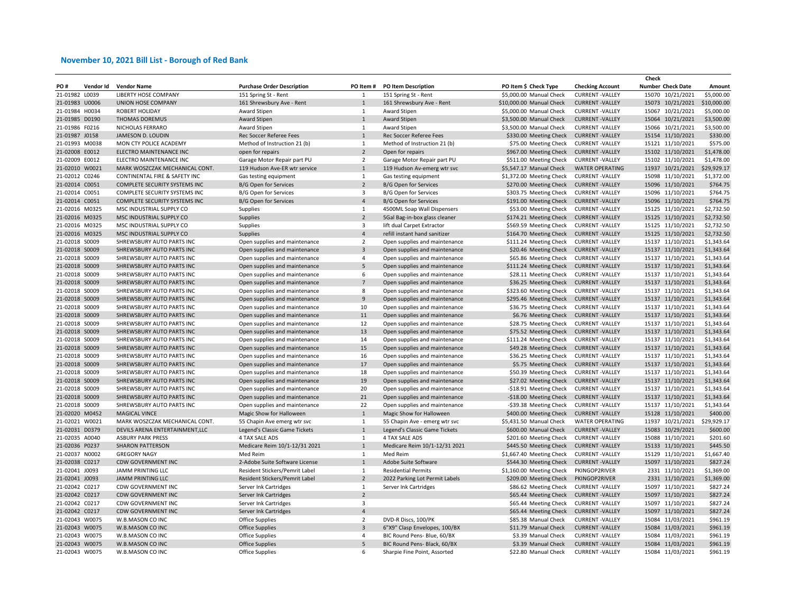|                |           |                                 |                                   |                              |                                |                          |                         | Check                    |             |
|----------------|-----------|---------------------------------|-----------------------------------|------------------------------|--------------------------------|--------------------------|-------------------------|--------------------------|-------------|
| PO#            | Vendor Id | <b>Vendor Name</b>              | <b>Purchase Order Description</b> | PO Item#                     | <b>PO Item Description</b>     | PO Item \$ Check Type    | <b>Checking Account</b> | <b>Number Check Date</b> | Amount      |
| 21-01982 L0039 |           | LIBERTY HOSE COMPANY            | 151 Spring St - Rent              | $\mathbf{1}$                 | 151 Spring St - Rent           | \$5,000.00 Manual Check  | <b>CURRENT-VALLEY</b>   | 15070 10/21/2021         | \$5,000.00  |
| 21-01983 U0006 |           | UNION HOSE COMPANY              | 161 Shrewsbury Ave - Rent         | $\mathbf{1}$                 | 161 Shrewsbury Ave - Rent      | \$10,000.00 Manual Check | <b>CURRENT-VALLEY</b>   | 15073 10/21/2021         | \$10,000.00 |
| 21-01984 H0034 |           | ROBERT HOLIDAY                  | Award Stipen                      | 1                            | Award Stipen                   | \$5,000.00 Manual Check  | <b>CURRENT-VALLEY</b>   | 15067 10/21/2021         | \$5,000.00  |
| 21-01985 D0190 |           | <b>THOMAS DOREMUS</b>           | Award Stipen                      | $\mathbf 1$                  | Award Stipen                   | \$3,500.00 Manual Check  | <b>CURRENT-VALLEY</b>   | 15064 10/21/2021         | \$3,500.00  |
| 21-01986 F0216 |           | NICHOLAS FERRARO                | Award Stipen                      | $\mathbf{1}$                 | Award Stipen                   | \$3,500.00 Manual Check  | <b>CURRENT -VALLEY</b>  | 15066 10/21/2021         | \$3,500.00  |
| 21-01987 J0158 |           | JAMESON D. LOUDIN               | Rec Soccer Referee Fees           | $1\,$                        | Rec Soccer Referee Fees        | \$330.00 Meeting Check   | <b>CURRENT-VALLEY</b>   | 15154 11/10/2021         | \$330.00    |
| 21-01993 M0038 |           | MON CTY POLICE ACADEMY          | Method of Instruction 21 (b)      | $\mathbf 1$                  | Method of Instruction 21 (b)   | \$75.00 Meeting Check    | <b>CURRENT -VALLEY</b>  | 15121 11/10/2021         | \$575.00    |
| 21-02008 E0012 |           | ELECTRO MAINTENANCE INC         | open for repairs                  | $\overline{2}$               | Open for repairs               | \$967.00 Meeting Check   | <b>CURRENT-VALLEY</b>   | 15102 11/10/2021         | \$1,478.00  |
| 21-02009 E0012 |           | ELECTRO MAINTENANCE INC         | Garage Motor Repair part PU       | $\overline{2}$               | Garage Motor Repair part PU    | \$511.00 Meeting Check   | <b>CURRENT-VALLEY</b>   | 15102 11/10/2021         | \$1,478.00  |
| 21-02010 W0021 |           | MARK WOSZCZAK MECHANICAL CONT.  | 119 Hudson Ave-ER wtr service     | $\mathbf{1}$                 | 119 Hudson Av-emerg wtr svc    | \$5,547.17 Manual Check  | <b>WATER OPERATING</b>  | 11937 10/21/2021         | \$29,929.17 |
| 21-02012 C0246 |           | CONTINENTAL FIRE & SAFETY INC   | Gas testing equipment             | $\mathbf{1}$                 | Gas testing equipment          | \$1,372.00 Meeting Check | <b>CURRENT-VALLEY</b>   | 15098 11/10/2021         | \$1,372.00  |
| 21-02014 C0051 |           | COMPLETE SECURITY SYSTEMS INC   | B/G Open for Services             | $\overline{2}$               | <b>B/G Open for Services</b>   | \$270.00 Meeting Check   | <b>CURRENT-VALLEY</b>   | 15096 11/10/2021         | \$764.75    |
| 21-02014 C0051 |           | COMPLETE SECURITY SYSTEMS INC   | B/G Open for Services             | 3                            | B/G Open for Services          | \$303.75 Meeting Check   | <b>CURRENT-VALLEY</b>   | 15096 11/10/2021         | \$764.75    |
| 21-02014 C0051 |           | COMPLETE SECURITY SYSTEMS INC   | B/G Open for Services             | $\overline{4}$               | B/G Open for Services          | \$191.00 Meeting Check   | <b>CURRENT - VALLEY</b> | 15096 11/10/2021         | \$764.75    |
| 21-02016 M0325 |           | MSC INDUSTRIAL SUPPLY CO        | Supplies                          | $\mathbf{1}$                 | 4500ML Soap Wall Dispensers    | \$53.00 Meeting Check    | <b>CURRENT-VALLEY</b>   | 15125 11/10/2021         | \$2,732.50  |
| 21-02016 M0325 |           | MSC INDUSTRIAL SUPPLY CO        | Supplies                          | $\overline{2}$               | 5Gal Bag-in-box glass cleaner  | \$174.21 Meeting Check   | <b>CURRENT-VALLEY</b>   | 15125 11/10/2021         | \$2,732.50  |
|                |           |                                 |                                   | 3                            |                                |                          | <b>CURRENT-VALLEY</b>   |                          |             |
| 21-02016 M0325 |           | MSC INDUSTRIAL SUPPLY CO        | Supplies                          |                              | lift dual Carpet Extractor     | \$569.59 Meeting Check   |                         | 15125 11/10/2021         | \$2,732.50  |
| 21-02016 M0325 |           | MSC INDUSTRIAL SUPPLY CO        | Supplies                          | $\overline{4}$               | refill instant hand sanitizer  | \$164.70 Meeting Check   | <b>CURRENT-VALLEY</b>   | 15125 11/10/2021         | \$2,732.50  |
| 21-02018 S0009 |           | SHREWSBURY AUTO PARTS INC       | Open supplies and maintenance     | $\overline{2}$               | Open supplies and maintenance  | \$111.24 Meeting Check   | <b>CURRENT -VALLEY</b>  | 15137 11/10/2021         | \$1,343.64  |
| 21-02018 S0009 |           | SHREWSBURY AUTO PARTS INC       | Open supplies and maintenance     | $\overline{\mathbf{3}}$      | Open supplies and maintenance  | \$20.46 Meeting Check    | <b>CURRENT-VALLEY</b>   | 15137 11/10/2021         | \$1,343.64  |
| 21-02018 S0009 |           | SHREWSBURY AUTO PARTS INC       | Open supplies and maintenance     | $\overline{4}$               | Open supplies and maintenance  | \$65.86 Meeting Check    | <b>CURRENT-VALLEY</b>   | 15137 11/10/2021         | \$1,343.64  |
| 21-02018 S0009 |           | SHREWSBURY AUTO PARTS INC       | Open supplies and maintenance     | $5\phantom{a}$               | Open supplies and maintenance  | \$111.24 Meeting Check   | <b>CURRENT-VALLEY</b>   | 15137 11/10/2021         | \$1,343.64  |
| 21-02018 S0009 |           | SHREWSBURY AUTO PARTS INC       | Open supplies and maintenance     | 6                            | Open supplies and maintenance  | \$28.11 Meeting Check    | <b>CURRENT-VALLEY</b>   | 15137 11/10/2021         | \$1,343.64  |
| 21-02018 S0009 |           | SHREWSBURY AUTO PARTS INC       | Open supplies and maintenance     | $\overline{7}$               | Open supplies and maintenance  | \$36.25 Meeting Check    | <b>CURRENT-VALLEY</b>   | 15137 11/10/2021         | \$1,343.64  |
| 21-02018 S0009 |           | SHREWSBURY AUTO PARTS INC       | Open supplies and maintenance     | 8                            | Open supplies and maintenance  | \$323.60 Meeting Check   | <b>CURRENT-VALLEY</b>   | 15137 11/10/2021         | \$1,343.64  |
| 21-02018 S0009 |           | SHREWSBURY AUTO PARTS INC       | Open supplies and maintenance     | $\boldsymbol{9}$             | Open supplies and maintenance  | \$295.46 Meeting Check   | <b>CURRENT-VALLEY</b>   | 15137 11/10/2021         | \$1,343.64  |
| 21-02018 S0009 |           | SHREWSBURY AUTO PARTS INC       | Open supplies and maintenance     | 10                           | Open supplies and maintenance  | \$36.75 Meeting Check    | <b>CURRENT-VALLEY</b>   | 15137 11/10/2021         | \$1,343.64  |
| 21-02018 S0009 |           | SHREWSBURY AUTO PARTS INC       | Open supplies and maintenance     | 11                           | Open supplies and maintenance  | \$6.76 Meeting Check     | <b>CURRENT-VALLEY</b>   | 15137 11/10/2021         | \$1,343.64  |
| 21-02018 S0009 |           | SHREWSBURY AUTO PARTS INC       | Open supplies and maintenance     | 12                           | Open supplies and maintenance  | \$28.75 Meeting Check    | <b>CURRENT-VALLEY</b>   | 15137 11/10/2021         | \$1,343.64  |
| 21-02018 S0009 |           | SHREWSBURY AUTO PARTS INC       | Open supplies and maintenance     | 13                           | Open supplies and maintenance  | \$75.52 Meeting Check    | <b>CURRENT-VALLEY</b>   | 15137 11/10/2021         | \$1,343.64  |
| 21-02018 S0009 |           | SHREWSBURY AUTO PARTS INC       | Open supplies and maintenance     | 14                           | Open supplies and maintenance  | \$111.24 Meeting Check   | <b>CURRENT-VALLEY</b>   | 15137 11/10/2021         | \$1,343.64  |
| 21-02018 S0009 |           | SHREWSBURY AUTO PARTS INC       | Open supplies and maintenance     | 15                           | Open supplies and maintenance  | \$49.28 Meeting Check    | <b>CURRENT-VALLEY</b>   | 15137 11/10/2021         | \$1,343.64  |
| 21-02018 S0009 |           | SHREWSBURY AUTO PARTS INC       | Open supplies and maintenance     | 16                           | Open supplies and maintenance  | \$36.25 Meeting Check    | <b>CURRENT-VALLEY</b>   | 15137 11/10/2021         | \$1,343.64  |
| 21-02018 S0009 |           | SHREWSBURY AUTO PARTS INC       | Open supplies and maintenance     | 17                           | Open supplies and maintenance  | \$5.75 Meeting Check     | <b>CURRENT-VALLEY</b>   | 15137 11/10/2021         | \$1,343.64  |
| 21-02018 S0009 |           | SHREWSBURY AUTO PARTS INC       | Open supplies and maintenance     | 18                           | Open supplies and maintenance  | \$50.39 Meeting Check    | <b>CURRENT-VALLEY</b>   | 15137 11/10/2021         | \$1,343.64  |
| 21-02018 S0009 |           | SHREWSBURY AUTO PARTS INC       | Open supplies and maintenance     | 19                           | Open supplies and maintenance  | \$27.02 Meeting Check    | <b>CURRENT-VALLEY</b>   | 15137 11/10/2021         | \$1,343.64  |
| 21-02018 S0009 |           | SHREWSBURY AUTO PARTS INC       | Open supplies and maintenance     | 20                           | Open supplies and maintenance  | -\$18.91 Meeting Check   | <b>CURRENT-VALLEY</b>   | 15137 11/10/2021         | \$1,343.64  |
| 21-02018 S0009 |           | SHREWSBURY AUTO PARTS INC       | Open supplies and maintenance     | 21                           | Open supplies and maintenance  | -\$18.00 Meeting Check   | <b>CURRENT-VALLEY</b>   | 15137 11/10/2021         | \$1,343.64  |
| 21-02018 S0009 |           | SHREWSBURY AUTO PARTS INC       | Open supplies and maintenance     | 22                           | Open supplies and maintenance  | -\$39.38 Meeting Check   | <b>CURRENT-VALLEY</b>   | 15137 11/10/2021         | \$1,343.64  |
| 21-02020 M0452 |           | MAGICAL VINCE                   | Magic Show for Halloween          | $\mathbf{1}$                 | Magic Show for Halloween       | \$400.00 Meeting Check   | <b>CURRENT-VALLEY</b>   | 15128 11/10/2021         | \$400.00    |
| 21-02021 W0021 |           | MARK WOSZCZAK MECHANICAL CONT.  | 55 Chapin Ave emerg wtr svc       | $\mathbf{1}$                 | 55 Chapin Ave - emerg wtr svc  | \$5,431.50 Manual Check  | <b>WATER OPERATING</b>  | 11937 10/21/2021         | \$29,929.17 |
| 21-02031 D0379 |           | DEVILS ARENA ENTERTAINMENT, LLC | Legend's Classic Game Tickets     | $1\,$                        | Legend's Classic Game Tickets  | \$600.00 Manual Check    | <b>CURRENT-VALLEY</b>   | 15083 10/29/2021         | \$600.00    |
| 21-02035 A0040 |           | <b>ASBURY PARK PRESS</b>        | 4 TAX SALE ADS                    | $\mathbf{1}$                 | 4 TAX SALE ADS                 | \$201.60 Meeting Check   | <b>CURRENT-VALLEY</b>   | 15088 11/10/2021         | \$201.60    |
|                |           |                                 |                                   | $1\,$                        |                                |                          |                         |                          | \$445.50    |
| 21-02036 P0237 |           | <b>SHARON PATTERSON</b>         | Medicare Reim 10/1-12/31 2021     |                              | Medicare Reim 10/1-12/31 2021  | \$445.50 Meeting Check   | <b>CURRENT-VALLEY</b>   | 15133 11/10/2021         |             |
| 21-02037 N0002 |           | <b>GREGORY NAGY</b>             | Med Reim                          | $\mathbf{1}$<br>$\mathbf{1}$ | Med Reim                       | \$1,667.40 Meeting Check | <b>CURRENT-VALLEY</b>   | 15129 11/10/2021         | \$1,667.40  |
| 21-02038 C0217 |           | <b>CDW GOVERNMENT INC</b>       | 2-Adobe Suite Software License    |                              | Adobe Suite Software           | \$544.30 Meeting Check   | <b>CURRENT-VALLEY</b>   | 15097 11/10/2021         | \$827.24    |
| 21-02041 J0093 |           | JAMM PRINTING LLC               | Resident Stickers/Pemrit Label    | $\mathbf{1}$                 | <b>Residential Permits</b>     | \$1,160.00 Meeting Check | PKINGOP2RIVER           | 2331 11/10/2021          | \$1,369.00  |
| 21-02041 J0093 |           | <b>JAMM PRINTING LLC</b>        | Resident Stickers/Pemrit Label    | $\overline{2}$               | 2022 Parking Lot Permit Labels | \$209.00 Meeting Check   | PKINGOP2RIVER           | 2331 11/10/2021          | \$1,369.00  |
| 21-02042 C0217 |           | CDW GOVERNMENT INC              | Server Ink Cartridges             | $\mathbf{1}$                 | Server Ink Cartridges          | \$86.62 Meeting Check    | <b>CURRENT-VALLEY</b>   | 15097 11/10/2021         | \$827.24    |
| 21-02042 C0217 |           | <b>CDW GOVERNMENT INC</b>       | Server Ink Cartridges             | $\overline{2}$               |                                | \$65.44 Meeting Check    | <b>CURRENT-VALLEY</b>   | 15097 11/10/2021         | \$827.24    |
| 21-02042 C0217 |           | CDW GOVERNMENT INC              | Server Ink Cartridges             | 3                            |                                | \$65.44 Meeting Check    | <b>CURRENT-VALLEY</b>   | 15097 11/10/2021         | \$827.24    |
| 21-02042 C0217 |           | <b>CDW GOVERNMENT INC</b>       | Server Ink Cartridges             | $\overline{4}$               |                                | \$65.44 Meeting Check    | <b>CURRENT-VALLEY</b>   | 15097 11/10/2021         | \$827.24    |
| 21-02043 W0075 |           | W.B.MASON CO INC                | <b>Office Supplies</b>            | $\overline{2}$               | DVD-R Discs, 100/PK            | \$85.38 Manual Check     | <b>CURRENT-VALLEY</b>   | 15084 11/03/2021         | \$961.19    |
| 21-02043 W0075 |           | W.B.MASON CO INC                | <b>Office Supplies</b>            | $\mathsf 3$                  | 6"X9" Clasp Envelopes, 100/BX  | \$11.79 Manual Check     | <b>CURRENT-VALLEY</b>   | 15084 11/03/2021         | \$961.19    |
| 21-02043 W0075 |           | W.B.MASON CO INC                | <b>Office Supplies</b>            | $\overline{4}$               | BIC Round Pens- Blue, 60/BX    | \$3.39 Manual Check      | <b>CURRENT -VALLEY</b>  | 15084 11/03/2021         | \$961.19    |
| 21-02043 W0075 |           | W.B.MASON CO INC                | <b>Office Supplies</b>            | 5                            | BIC Round Pens- Black, 60/BX   | \$3.39 Manual Check      | <b>CURRENT-VALLEY</b>   | 15084 11/03/2021         | \$961.19    |
| 21-02043 W0075 |           | W.B.MASON CO INC                | Office Supplies                   | 6                            | Sharpie Fine Point, Assorted   | \$22.80 Manual Check     | <b>CURRENT-VALLEY</b>   | 15084 11/03/2021         | \$961.19    |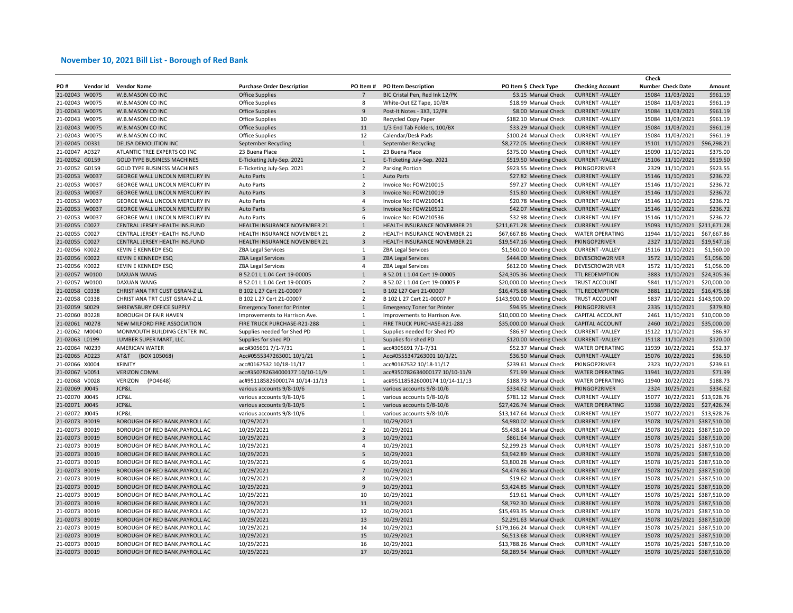|                                  |           |                                                                    |                                    |                         |                                    |                                                 |                                                | Check                         |             |
|----------------------------------|-----------|--------------------------------------------------------------------|------------------------------------|-------------------------|------------------------------------|-------------------------------------------------|------------------------------------------------|-------------------------------|-------------|
| PO #                             | Vendor Id | <b>Vendor Name</b>                                                 | <b>Purchase Order Description</b>  | PO Item#                | <b>PO Item Description</b>         | PO Item \$ Check Type                           | <b>Checking Account</b>                        | <b>Number Check Date</b>      | Amount      |
| 21-02043 W0075                   |           | W.B.MASON CO INC                                                   | <b>Office Supplies</b>             |                         | BIC Cristal Pen, Red Ink 12/PK     | \$3.15 Manual Check                             | <b>CURRENT-VALLEY</b>                          | 15084 11/03/2021              | \$961.19    |
| 21-02043 W0075                   |           | W.B.MASON CO INC                                                   | Office Supplies                    | 8                       | White-Out EZ Tape, 10/BX           | \$18.99 Manual Check                            | <b>CURRENT-VALLEY</b>                          | 15084 11/03/2021              | \$961.19    |
| 21-02043 W0075                   |           | W.B.MASON CO INC                                                   | <b>Office Supplies</b>             | 9                       | Post-It Notes - 3X3, 12/PK         | \$8.00 Manual Check                             | <b>CURRENT-VALLEY</b>                          | 15084 11/03/2021              | \$961.19    |
| 21-02043 W0075                   |           | W.B.MASON CO INC                                                   | <b>Office Supplies</b>             | 10                      | Recycled Copy Paper                | \$182.10 Manual Check                           | <b>CURRENT-VALLEY</b>                          | 15084 11/03/2021              | \$961.19    |
| 21-02043 W0075                   |           | W.B.MASON CO INC                                                   | <b>Office Supplies</b>             | 11                      | 1/3 End Tab Folders, 100/BX        | \$33.29 Manual Check                            | <b>CURRENT-VALLEY</b>                          | 15084 11/03/2021              | \$961.19    |
| 21-02043 W0075                   |           | W.B.MASON CO INC                                                   | <b>Office Supplies</b>             | 12                      | Calendar/Desk Pads                 | \$100.24 Manual Check                           | <b>CURRENT -VALLEY</b>                         | 15084 11/03/2021              | \$961.19    |
| 21-02045 D0331                   |           | DELISA DEMOLITION INC                                              | September Recycling                | $\mathbf{1}$            | September Recycling                | \$8,272.05 Meeting Check                        | <b>CURRENT-VALLEY</b>                          | 15101 11/10/2021              | \$96,298.21 |
| 21-02047 A0327                   |           | ATLANTIC TREE EXPERTS CO INC                                       | 23 Buena Place                     | $\mathbf{1}$            | 23 Buena Place                     | \$375.00 Meeting Check                          | <b>CURRENT -VALLEY</b>                         | 15090 11/10/2021              | \$375.00    |
| 21-02052 G0159                   |           | <b>GOLD TYPE BUSINESS MACHINES</b>                                 | E-Ticketing July-Sep. 2021         | $\mathbf{1}$            | E-Ticketing July-Sep. 2021         | \$519.50 Meeting Check                          | <b>CURRENT-VALLEY</b>                          | 15106 11/10/2021              | \$519.50    |
| 21-02052 G0159                   |           | <b>GOLD TYPE BUSINESS MACHINES</b>                                 | E-Ticketing July-Sep. 2021         | $\overline{2}$          | Parking Portion                    | \$923.55 Meeting Check                          | PKINGOP2RIVER                                  | 2329 11/10/2021               | \$923.55    |
| 21-02053 W0037                   |           | <b>GEORGE WALL LINCOLN MERCURY IN</b>                              | <b>Auto Parts</b>                  | $\mathbf{1}$            | <b>Auto Parts</b>                  | \$27.82 Meeting Check                           | <b>CURRENT-VALLEY</b>                          | 15146 11/10/2021              | \$236.72    |
| 21-02053 W0037                   |           | GEORGE WALL LINCOLN MERCURY IN                                     | Auto Parts                         | $\overline{2}$          | Invoice No: FOW210015              | \$97.27 Meeting Check                           | <b>CURRENT-VALLEY</b>                          | 15146 11/10/2021              | \$236.72    |
| 21-02053 W0037                   |           | GEORGE WALL LINCOLN MERCURY IN                                     | <b>Auto Parts</b>                  | $\overline{3}$          | Invoice No: FOW210019              | \$15.80 Meeting Check                           | <b>CURRENT-VALLEY</b>                          | 15146 11/10/2021              | \$236.72    |
| 21-02053 W0037                   |           | GEORGE WALL LINCOLN MERCURY IN                                     | Auto Parts                         | $\overline{4}$          | Invoice No: FOW210041              | \$20.78 Meeting Check                           | <b>CURRENT - VALLEY</b>                        | 15146 11/10/2021              | \$236.72    |
| 21-02053 W0037                   |           | GEORGE WALL LINCOLN MERCURY IN                                     | <b>Auto Parts</b>                  | $\mathsf S$             | Invoice No: FOW210512              | \$42.07 Meeting Check                           | <b>CURRENT-VALLEY</b>                          | 15146 11/10/2021              | \$236.72    |
| 21-02053 W0037                   |           | GEORGE WALL LINCOLN MERCURY IN                                     | <b>Auto Parts</b>                  | 6                       | Invoice No: FOW210536              | \$32.98 Meeting Check                           | <b>CURRENT-VALLEY</b>                          | 15146 11/10/2021              | \$236.72    |
| 21-02055 C0027                   |           | CENTRAL JERSEY HEALTH INS.FUND                                     | HEALTH INSURANCE NOVEMBER 21       | $\mathbf{1}$            | HEALTH INSURANCE NOVEMBER 21       | \$211,671.28 Meeting Check                      | <b>CURRENT-VALLEY</b>                          | 15093 11/10/2021 \$211,671.28 |             |
| 21-02055 C0027                   |           | CENTRAL JERSEY HEALTH INS.FUND                                     | HEALTH INSURANCE NOVEMBER 21       | $\overline{2}$          | HEALTH INSURANCE NOVEMBER 21       | \$67,667.86 Meeting Check                       | <b>WATER OPERATING</b>                         | 11944 11/10/2021              | \$67,667.86 |
| 21-02055 C0027                   |           | CENTRAL JERSEY HEALTH INS.FUND                                     | HEALTH INSURANCE NOVEMBER 21       | $\overline{3}$          | HEALTH INSURANCE NOVEMBER 21       | \$19,547.16 Meeting Check                       | PKINGOP2RIVER                                  | 2327 11/10/2021               | \$19,547.16 |
| 21-02056 K0022                   |           | KEVIN E KENNEDY ESQ                                                | <b>ZBA Legal Services</b>          | 1                       | <b>ZBA Legal Services</b>          | \$1,560.00 Meeting Check                        | <b>CURRENT -VALLEY</b>                         | 15116 11/10/2021              | \$1,560.00  |
| 21-02056 K0022                   |           | KEVIN E KENNEDY ESQ                                                |                                    | $\overline{3}$          |                                    |                                                 | DEVESCROW2RIVER                                | 1572 11/10/2021               | \$1,056.00  |
|                                  |           |                                                                    | <b>ZBA Legal Services</b>          | $\overline{4}$          | <b>ZBA Legal Services</b>          | \$444.00 Meeting Check                          |                                                |                               | \$1,056.00  |
| 21-02056 K0022                   |           | <b>KEVIN E KENNEDY ESQ</b>                                         | <b>ZBA Legal Services</b>          |                         | <b>ZBA Legal Services</b>          | \$612.00 Meeting Check                          | DEVESCROW2RIVER                                | 1572 11/10/2021               |             |
| 21-02057 W0100                   |           | DAXUAN WANG                                                        | B 52.01 L 1.04 Cert 19-00005       | $\mathbf{1}$            | B 52.01 L 1.04 Cert 19-00005       | \$24,305.36 Meeting Check                       | TTL REDEMPTION                                 | 3883 11/10/2021               | \$24,305.36 |
| 21-02057 W0100                   |           | DAXUAN WANG                                                        | B 52.01 L 1.04 Cert 19-00005       | $\overline{2}$          | B 52.02 L 1.04 Cert 19-00005 P     | \$20,000.00 Meeting Check                       | TRUST ACCOUNT                                  | 5841 11/10/2021               | \$20,000.00 |
| 21-02058 C0338                   |           | CHRISTIANA TRT CUST GSRAN-Z LL                                     | B 102 L 27 Cert 21-00007           | $\mathbf{1}$            | B 102 L27 Cert 21-00007            | \$16,475.68 Meeting Check                       | TTL REDEMPTION                                 | 3881 11/10/2021 \$16,475.68   |             |
| 21-02058 C0338                   |           | CHRISTIANA TRT CUST GSRAN-Z LL                                     | B 102 L 27 Cert 21-00007           | $\overline{2}$          | B 102 L 27 Cert 21-00007 P         | \$143,900.00 Meeting Check                      | TRUST ACCOUNT                                  | 5837 11/10/2021 \$143,900.00  |             |
| 21-02059 S0029                   |           | SHREWSBURY OFFICE SUPPLY                                           | <b>Emergency Toner for Printer</b> | $\mathbf{1}$            | <b>Emergency Toner for Printer</b> | \$94.95 Meeting Check                           | PKINGOP2RIVER                                  | 2335 11/10/2021               | \$379.80    |
| 21-02060 B0228                   |           | BOROUGH OF FAIR HAVEN                                              | Improvements to Harrison Ave.      | $\mathbf{1}$            | Improvements to Harrison Ave.      | \$10,000.00 Meeting Check                       | CAPITAL ACCOUNT                                | 2461 11/10/2021               | \$10,000.00 |
| 21-02061 N0278                   |           | NEW MILFORD FIRE ASSOCIATION                                       | FIRE TRUCK PURCHASE-R21-288        | $1\,$                   | FIRE TRUCK PURCHASE-R21-288        | \$35,000.00 Manual Check                        | CAPITAL ACCOUNT                                | 2460 10/21/2021               | \$35,000.00 |
| 21-02062 M0040                   |           | MONMOUTH BUILDING CENTER INC.                                      | Supplies needed for Shed PD        | $\mathbf{1}$            | Supplies needed for Shed PD        | \$86.97 Meeting Check                           | <b>CURRENT-VALLEY</b>                          | 15122 11/10/2021              | \$86.97     |
| 21-02063 L0199                   |           | LUMBER SUPER MART, LLC.                                            | Supplies for shed PD               | $\mathbf{1}$            | Supplies for shed PD               | \$120.00 Meeting Check                          | <b>CURRENT-VALLEY</b>                          | 15118 11/10/2021              | \$120.00    |
| 21-02064 N0239                   |           | <b>AMERICAN WATER</b>                                              | acc#305691 7/1-7/31                | $\mathbf{1}$            | acc#305691 7/1-7/31                | \$52.37 Manual Check                            | <b>WATER OPERATING</b>                         | 11939 10/22/2021              | \$52.37     |
| 21-02065 A0223                   |           | AT&T<br>(BOX 105068)                                               | Acc#0555347263001 10/1/21          | $1\,$                   | Acc#0555347263001 10/1/21          | \$36.50 Manual Check                            | <b>CURRENT-VALLEY</b>                          | 15076 10/22/2021              | \$36.50     |
| 21-02066 X0004                   |           | <b>XFINITY</b>                                                     | acc#0167532 10/18-11/17            | 1                       | acc#0167532 10/18-11/17            | \$239.61 Manual Check                           | PKINGOP2RIVER                                  | 2323 10/22/2021               | \$239.61    |
| 21-02067 V0051                   |           | VERIZON COMM.                                                      | acc#350782634000177 10/10-11/9     | $\mathbf{1}$            | acc#350782634000177 10/10-11/9     | \$71.99 Manual Check                            | <b>WATER OPERATING</b>                         | 11941 10/22/2021              | \$71.99     |
| 21-02068 V0028                   |           | VERIZON<br>(PO4648)                                                | ac#951185826000174 10/14-11/13     | 1                       | ac#951185826000174 10/14-11/13     | \$188.73 Manual Check                           | <b>WATER OPERATING</b>                         | 11940 10/22/2021              | \$188.73    |
| 21-02069 J0045                   |           | JCP&L                                                              | various accounts 9/8-10/6          | $\mathbf{1}$            | various accounts 9/8-10/6          | \$334.62 Manual Check                           | PKINGOP2RIVER                                  | 2324 10/25/2021               | \$334.62    |
| 21-02070 J0045                   |           | JCP&L                                                              | various accounts 9/8-10/6          | 1                       | various accounts 9/8-10/6          | \$781.12 Manual Check                           | <b>CURRENT-VALLEY</b>                          | 15077 10/22/2021              | \$13,928.76 |
| 21-02071 J0045                   |           | JCP&L                                                              | various accounts 9/8-10/6          | $\mathbf{1}$            | various accounts 9/8-10/6          | \$27,426.74 Manual Check                        | <b>WATER OPERATING</b>                         | 11938 10/22/2021              | \$27,426.74 |
| 21-02072 J0045                   |           | JCP&L                                                              | various accounts 9/8-10/6          | $\mathbf{1}$            | various accounts 9/8-10/6          | \$13,147.64 Manual Check                        | <b>CURRENT-VALLEY</b>                          | 15077 10/22/2021              | \$13,928.76 |
| 21-02073 B0019                   |           | BOROUGH OF RED BANK, PAYROLL AC                                    | 10/29/2021                         | $1\,$                   | 10/29/2021                         | \$4,980.02 Manual Check                         | <b>CURRENT-VALLEY</b>                          | 15078 10/25/2021 \$387,510.00 |             |
| 21-02073 B0019                   |           | BOROUGH OF RED BANK, PAYROLL AC                                    | 10/29/2021                         | $\overline{2}$          | 10/29/2021                         | \$5,438.14 Manual Check                         | <b>CURRENT -VALLEY</b>                         | 15078 10/25/2021 \$387,510.00 |             |
| 21-02073 B0019                   |           | BOROUGH OF RED BANK, PAYROLL AC                                    | 10/29/2021                         | $\overline{\mathbf{3}}$ | 10/29/2021                         | \$861.64 Manual Check                           | <b>CURRENT-VALLEY</b>                          | 15078 10/25/2021 \$387,510.00 |             |
| 21-02073 B0019                   |           | BOROUGH OF RED BANK, PAYROLL AC                                    | 10/29/2021                         | 4                       | 10/29/2021                         | \$2,299.23 Manual Check                         | <b>CURRENT -VALLEY</b>                         | 15078 10/25/2021 \$387,510.00 |             |
| 21-02073 B0019                   |           | BOROUGH OF RED BANK, PAYROLL AC                                    | 10/29/2021                         | 5                       | 10/29/2021                         | \$3,942.89 Manual Check                         | <b>CURRENT-VALLEY</b>                          | 15078 10/25/2021 \$387,510.00 |             |
| 21-02073 B0019                   |           | BOROUGH OF RED BANK, PAYROLL AC                                    | 10/29/2021                         | 6                       | 10/29/2021                         | \$3,800.28 Manual Check                         | <b>CURRENT -VALLEY</b>                         | 15078 10/25/2021 \$387,510.00 |             |
| 21-02073 B0019                   |           | BOROUGH OF RED BANK, PAYROLL AC                                    | 10/29/2021                         | $\overline{7}$          | 10/29/2021                         | \$4,474.86 Manual Check                         | <b>CURRENT-VALLEY</b>                          | 15078 10/25/2021 \$387,510.00 |             |
| 21-02073 B0019                   |           | BOROUGH OF RED BANK, PAYROLL AC                                    | 10/29/2021                         | 8                       | 10/29/2021                         | \$19.62 Manual Check                            | <b>CURRENT-VALLEY</b>                          | 15078 10/25/2021 \$387,510.00 |             |
|                                  |           |                                                                    |                                    |                         |                                    |                                                 |                                                |                               |             |
| 21-02073 B0019<br>21-02073 B0019 |           | BOROUGH OF RED BANK, PAYROLL AC<br>BOROUGH OF RED BANK, PAYROLL AC | 10/29/2021                         | 9<br>10                 | 10/29/2021                         | \$3,424.85 Manual Check<br>\$19.61 Manual Check | <b>CURRENT-VALLEY</b><br><b>CURRENT-VALLEY</b> | 15078 10/25/2021 \$387,510.00 |             |
|                                  |           |                                                                    | 10/29/2021                         |                         | 10/29/2021                         |                                                 |                                                | 15078 10/25/2021 \$387,510.00 |             |
| 21-02073 B0019                   |           | BOROUGH OF RED BANK, PAYROLL AC                                    | 10/29/2021                         | 11                      | 10/29/2021                         | \$8,792.30 Manual Check                         | <b>CURRENT-VALLEY</b>                          | 15078 10/25/2021 \$387,510.00 |             |
| 21-02073 B0019                   |           | BOROUGH OF RED BANK, PAYROLL AC                                    | 10/29/2021                         | 12                      | 10/29/2021                         | \$15,493.35 Manual Check                        | <b>CURRENT-VALLEY</b>                          | 15078 10/25/2021 \$387,510.00 |             |
| 21-02073 B0019                   |           | BOROUGH OF RED BANK, PAYROLL AC                                    | 10/29/2021                         | 13                      | 10/29/2021                         | \$2,291.63 Manual Check                         | <b>CURRENT-VALLEY</b>                          | 15078 10/25/2021 \$387,510.00 |             |
| 21-02073 B0019                   |           | BOROUGH OF RED BANK, PAYROLL AC                                    | 10/29/2021                         | 14                      | 10/29/2021                         | \$179,166.24 Manual Check                       | <b>CURRENT-VALLEY</b>                          | 15078 10/25/2021 \$387,510.00 |             |
| 21-02073 B0019                   |           | BOROUGH OF RED BANK, PAYROLL AC                                    | 10/29/2021                         | 15                      | 10/29/2021                         | \$6,513.68 Manual Check                         | <b>CURRENT-VALLEY</b>                          | 15078 10/25/2021 \$387,510.00 |             |
| 21-02073 B0019                   |           | BOROUGH OF RED BANK, PAYROLL AC                                    | 10/29/2021                         | 16                      | 10/29/2021                         | \$13,788.26 Manual Check                        | <b>CURRENT-VALLEY</b>                          | 15078 10/25/2021 \$387,510.00 |             |
| 21-02073 B0019                   |           | BOROUGH OF RED BANK, PAYROLL AC                                    | 10/29/2021                         | 17                      | 10/29/2021                         | \$8,289.54 Manual Check                         | <b>CURRENT-VALLEY</b>                          | 15078 10/25/2021 \$387,510.00 |             |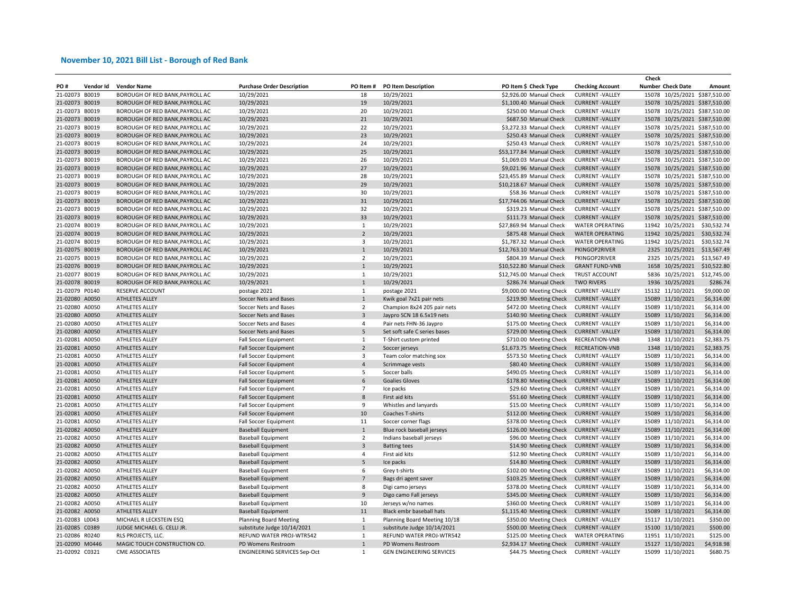|                                  |           |                                                                    |                                                              |                         |                              |                                                   |                         | Check |                          |                                                                |
|----------------------------------|-----------|--------------------------------------------------------------------|--------------------------------------------------------------|-------------------------|------------------------------|---------------------------------------------------|-------------------------|-------|--------------------------|----------------------------------------------------------------|
| PO#                              | Vendor Id | <b>Vendor Name</b>                                                 | <b>Purchase Order Description</b>                            | PO Item#                | <b>PO Item Description</b>   | PO Item \$ Check Type                             | <b>Checking Account</b> |       | <b>Number Check Date</b> | Amount                                                         |
| 21-02073                         | B0019     | BOROUGH OF RED BANK, PAYROLL AC                                    | 10/29/2021                                                   | 18                      | 10/29/2021                   | \$2,926.00 Manual Check                           | <b>CURRENT-VALLEY</b>   |       |                          | 15078 10/25/2021 \$387,510.00                                  |
| 21-02073 B0019                   |           | BOROUGH OF RED BANK, PAYROLL AC                                    | 10/29/2021                                                   | 19                      | 10/29/2021                   | \$1,100.40 Manual Check                           | <b>CURRENT-VALLEY</b>   |       |                          | 15078 10/25/2021 \$387,510.00                                  |
| 21-02073 B0019                   |           | BOROUGH OF RED BANK, PAYROLL AC                                    | 10/29/2021                                                   | 20                      | 10/29/2021                   | \$250.00 Manual Check                             | <b>CURRENT-VALLEY</b>   |       |                          | 15078 10/25/2021 \$387,510.00                                  |
| 21-02073 B0019                   |           | BOROUGH OF RED BANK, PAYROLL AC                                    | 10/29/2021                                                   | 21                      | 10/29/2021                   | \$687.50 Manual Check                             | <b>CURRENT-VALLEY</b>   |       |                          | 15078 10/25/2021 \$387,510.00                                  |
| 21-02073 B0019                   |           | BOROUGH OF RED BANK, PAYROLL AC                                    | 10/29/2021                                                   | 22                      | 10/29/2021                   | \$3,272.33 Manual Check                           | <b>CURRENT-VALLEY</b>   |       |                          | 15078 10/25/2021 \$387,510.00                                  |
| 21-02073 B0019                   |           | BOROUGH OF RED BANK, PAYROLL AC                                    | 10/29/2021                                                   | 23                      | 10/29/2021                   | \$250.43 Manual Check                             | <b>CURRENT-VALLEY</b>   |       |                          | 15078 10/25/2021 \$387,510.00                                  |
| 21-02073 B0019                   |           | BOROUGH OF RED BANK, PAYROLL AC                                    | 10/29/2021                                                   | 24                      | 10/29/2021                   | \$250.43 Manual Check                             | <b>CURRENT-VALLEY</b>   |       |                          | 15078 10/25/2021 \$387,510.00                                  |
| 21-02073 B0019                   |           | BOROUGH OF RED BANK, PAYROLL AC                                    | 10/29/2021                                                   | 25                      | 10/29/2021                   | \$53,177.84 Manual Check                          | <b>CURRENT-VALLEY</b>   |       |                          | 15078 10/25/2021 \$387,510.00                                  |
| 21-02073 B0019                   |           | BOROUGH OF RED BANK, PAYROLL AC                                    | 10/29/2021                                                   | 26                      | 10/29/2021                   | \$1,069.03 Manual Check                           | <b>CURRENT-VALLEY</b>   |       |                          | 15078 10/25/2021 \$387,510.00                                  |
| 21-02073 B0019                   |           | BOROUGH OF RED BANK, PAYROLL AC                                    | 10/29/2021                                                   | 27                      | 10/29/2021                   | \$9,021.96 Manual Check                           | <b>CURRENT-VALLEY</b>   |       |                          | 15078 10/25/2021 \$387,510.00                                  |
| 21-02073 B0019                   |           | BOROUGH OF RED BANK, PAYROLL AC                                    | 10/29/2021                                                   | 28                      | 10/29/2021                   | \$23,455.89 Manual Check                          | <b>CURRENT-VALLEY</b>   |       |                          | 15078 10/25/2021 \$387,510.00                                  |
| 21-02073 B0019                   |           | BOROUGH OF RED BANK, PAYROLL AC                                    | 10/29/2021                                                   | 29                      | 10/29/2021                   | \$10,218.67 Manual Check                          | <b>CURRENT-VALLEY</b>   |       |                          | 15078 10/25/2021 \$387,510.00                                  |
| 21-02073 B0019                   |           | BOROUGH OF RED BANK, PAYROLL AC                                    | 10/29/2021                                                   | 30                      | 10/29/2021                   | \$58.36 Manual Check                              | <b>CURRENT-VALLEY</b>   |       |                          | 15078 10/25/2021 \$387,510.00                                  |
| 21-02073 B0019                   |           | BOROUGH OF RED BANK, PAYROLL AC                                    | 10/29/2021                                                   | 31                      | 10/29/2021                   | \$17,744.06 Manual Check                          | <b>CURRENT-VALLEY</b>   |       |                          | 15078 10/25/2021 \$387,510.00                                  |
|                                  |           |                                                                    |                                                              |                         |                              |                                                   | <b>CURRENT-VALLEY</b>   |       |                          |                                                                |
| 21-02073 B0019<br>21-02073 B0019 |           | BOROUGH OF RED BANK, PAYROLL AC<br>BOROUGH OF RED BANK, PAYROLL AC | 10/29/2021<br>10/29/2021                                     | 32<br>33                | 10/29/2021<br>10/29/2021     | \$319.23 Manual Check<br>\$111.73 Manual Check    | <b>CURRENT-VALLEY</b>   |       |                          | 15078 10/25/2021 \$387,510.00<br>15078 10/25/2021 \$387,510.00 |
| 21-02074 B0019                   |           |                                                                    |                                                              | $\mathbf{1}$            |                              | \$27,869.94 Manual Check                          |                         |       |                          | 11942 10/25/2021 \$30,532.74                                   |
|                                  |           | BOROUGH OF RED BANK, PAYROLL AC                                    | 10/29/2021                                                   |                         | 10/29/2021                   |                                                   | <b>WATER OPERATING</b>  |       |                          |                                                                |
| 21-02074 B0019                   |           | BOROUGH OF RED BANK, PAYROLL AC                                    | 10/29/2021                                                   | $\overline{2}$          | 10/29/2021                   | \$875.48 Manual Check                             | <b>WATER OPERATING</b>  |       | 11942 10/25/2021         | \$30,532.74                                                    |
| 21-02074 B0019                   |           | BOROUGH OF RED BANK, PAYROLL AC                                    | 10/29/2021                                                   | $\overline{\mathbf{3}}$ | 10/29/2021                   | \$1,787.32 Manual Check                           | <b>WATER OPERATING</b>  |       | 11942 10/25/2021         | \$30,532.74                                                    |
| 21-02075 B0019                   |           | BOROUGH OF RED BANK, PAYROLL AC                                    | 10/29/2021                                                   | $\mathbf{1}$            | 10/29/2021                   | \$12,763.10 Manual Check                          | PKINGOP2RIVER           |       | 2325 10/25/2021          | \$13,567.49                                                    |
| 21-02075 B0019                   |           | BOROUGH OF RED BANK, PAYROLL AC                                    | 10/29/2021                                                   | $\overline{2}$          | 10/29/2021                   | \$804.39 Manual Check                             | PKINGOP2RIVER           |       | 2325 10/25/2021          | \$13,567.49                                                    |
| 21-02076 B0019                   |           | BOROUGH OF RED BANK, PAYROLL AC                                    | 10/29/2021                                                   | $\mathbf{1}$            | 10/29/2021                   | \$10,522.80 Manual Check                          | <b>GRANT FUND-VNB</b>   |       | 1658 10/25/2021          | \$10,522.80                                                    |
| 21-02077 B0019                   |           | BOROUGH OF RED BANK, PAYROLL AC                                    | 10/29/2021                                                   | $\mathbf{1}$            | 10/29/2021                   | \$12,745.00 Manual Check                          | TRUST ACCOUNT           |       | 5836 10/25/2021          | \$12,745.00                                                    |
| 21-02078 B0019                   |           | BOROUGH OF RED BANK, PAYROLL AC                                    | 10/29/2021                                                   | 1                       | 10/29/2021                   | \$286.74 Manual Check                             | <b>TWO RIVERS</b>       |       | 1936 10/25/2021          | \$286.74                                                       |
| 21-02079 P0140                   |           | <b>RESERVE ACCOUNT</b>                                             | postage 2021                                                 | 1                       | postage 2021                 | \$9,000.00 Meeting Check                          | <b>CURRENT-VALLEY</b>   |       | 15132 11/10/2021         | \$9,000.00                                                     |
| 21-02080 A0050                   |           | ATHLETES ALLEY                                                     | Soccer Nets and Bases                                        | $1\,$                   | Kwik goal 7x21 pair nets     | \$219.90 Meeting Check                            | <b>CURRENT-VALLEY</b>   |       | 15089 11/10/2021         | \$6,314.00                                                     |
| 21-02080 A0050                   |           | ATHLETES ALLEY                                                     | Soccer Nets and Bases                                        | $\overline{2}$          | Champion 8x24 205 pair nets  | \$472.00 Meeting Check                            | <b>CURRENT-VALLEY</b>   |       | 15089 11/10/2021         | \$6,314.00                                                     |
| 21-02080 A0050                   |           | ATHLETES ALLEY                                                     | Soccer Nets and Bases                                        | $\overline{\mathbf{3}}$ | Jaypro SCN 18 6.5x19 nets    | \$140.90 Meeting Check                            | <b>CURRENT-VALLEY</b>   |       | 15089 11/10/2021         | \$6,314.00                                                     |
| 21-02080 A0050                   |           | ATHLETES ALLEY                                                     | Soccer Nets and Bases                                        | $\overline{4}$          | Pair nets FHN-36 Jaypro      | \$175.00 Meeting Check                            | <b>CURRENT-VALLEY</b>   |       | 15089 11/10/2021         | \$6,314.00                                                     |
| 21-02080 A0050                   |           | ATHLETES ALLEY                                                     | Soccer Nets and Bases                                        | $\overline{\mathbf{5}}$ | Set soft safe C series bases | \$729.00 Meeting Check                            | <b>CURRENT-VALLEY</b>   |       | 15089 11/10/2021         | \$6,314.00                                                     |
| 21-02081 A0050                   |           | ATHLETES ALLEY                                                     | <b>Fall Soccer Equipment</b>                                 | $\mathbf{1}$            | T-Shirt custom printed       | \$710.00 Meeting Check                            | RECREATION-VNB          |       | 1348 11/10/2021          | \$2,383.75                                                     |
| 21-02081 A0050                   |           | ATHLETES ALLEY                                                     | <b>Fall Soccer Equipment</b>                                 | $\overline{2}$          | Soccer jerseys               | \$1,673.75 Meeting Check                          | <b>RECREATION-VNB</b>   |       | 1348 11/10/2021          | \$2,383.75                                                     |
| 21-02081 A0050                   |           | ATHLETES ALLEY                                                     | Fall Soccer Equipment                                        | 3                       | Team color matching sox      | \$573.50 Meeting Check                            | <b>CURRENT-VALLEY</b>   |       | 15089 11/10/2021         | \$6,314.00                                                     |
| 21-02081 A0050                   |           | ATHLETES ALLEY                                                     | <b>Fall Soccer Equipment</b>                                 | $\overline{a}$          | Scrimmage vests              | \$80.40 Meeting Check                             | <b>CURRENT-VALLEY</b>   |       | 15089 11/10/2021         | \$6,314.00                                                     |
| 21-02081 A0050                   |           | ATHLETES ALLEY                                                     | Fall Soccer Equipment                                        | 5                       | Soccer balls                 | \$490.05 Meeting Check                            | <b>CURRENT-VALLEY</b>   |       | 15089 11/10/2021         | \$6,314.00                                                     |
| 21-02081 A0050                   |           | <b>ATHLETES ALLEY</b>                                              | <b>Fall Soccer Equipment</b>                                 | 6                       | <b>Goalies Gloves</b>        | \$178.80 Meeting Check                            | <b>CURRENT-VALLEY</b>   |       | 15089 11/10/2021         | \$6,314.00                                                     |
| 21-02081 A0050                   |           | ATHLETES ALLEY                                                     | Fall Soccer Equipment                                        | $\overline{7}$          | Ice packs                    | \$29.60 Meeting Check                             | <b>CURRENT-VALLEY</b>   |       | 15089 11/10/2021         | \$6,314.00                                                     |
| 21-02081 A0050                   |           | ATHLETES ALLEY                                                     | <b>Fall Soccer Equipment</b>                                 | 8                       | First aid kits               | \$51.60 Meeting Check                             | <b>CURRENT-VALLEY</b>   |       | 15089 11/10/2021         | \$6,314.00                                                     |
| 21-02081 A0050                   |           | ATHLETES ALLEY                                                     | Fall Soccer Equipment                                        | 9                       | Whistles and lanyards        | \$15.00 Meeting Check                             | <b>CURRENT-VALLEY</b>   |       | 15089 11/10/2021         | \$6,314.00                                                     |
| 21-02081 A0050                   |           | ATHLETES ALLEY                                                     | <b>Fall Soccer Equipment</b>                                 | 10                      | Coaches T-shirts             | \$112.00 Meeting Check                            | <b>CURRENT-VALLEY</b>   |       | 15089 11/10/2021         | \$6,314.00                                                     |
| 21-02081 A0050                   |           | ATHLETES ALLEY                                                     | <b>Fall Soccer Equipment</b>                                 | 11                      | Soccer corner flags          | \$378.00 Meeting Check                            | <b>CURRENT -VALLEY</b>  |       | 15089 11/10/2021         | \$6,314.00                                                     |
| 21-02082 A0050                   |           | ATHLETES ALLEY                                                     | <b>Baseball Equipment</b>                                    | $1\,$                   | Blue rock baseball jerseys   | \$126.00 Meeting Check                            | <b>CURRENT-VALLEY</b>   |       | 15089 11/10/2021         | \$6,314.00                                                     |
| 21-02082 A0050                   |           | ATHLETES ALLEY                                                     | <b>Baseball Equipment</b>                                    | $\overline{2}$          | Indians baseball jerseys     | \$96.00 Meeting Check                             | <b>CURRENT -VALLEY</b>  |       | 15089 11/10/2021         | \$6,314.00                                                     |
| 21-02082 A0050                   |           | ATHLETES ALLEY                                                     | <b>Baseball Equipment</b>                                    | $\overline{\mathbf{3}}$ | <b>Batting tees</b>          | \$14.90 Meeting Check                             | <b>CURRENT-VALLEY</b>   |       | 15089 11/10/2021         | \$6,314.00                                                     |
| 21-02082 A0050                   |           | ATHLETES ALLEY                                                     | <b>Baseball Equipment</b>                                    | $\overline{4}$          | First aid kits               | \$12.90 Meeting Check                             | <b>CURRENT-VALLEY</b>   |       | 15089 11/10/2021         | \$6,314.00                                                     |
| 21-02082 A0050                   |           | ATHLETES ALLEY                                                     | <b>Baseball Equipment</b>                                    | 5                       | Ice packs                    | \$14.80 Meeting Check                             | <b>CURRENT-VALLEY</b>   |       | 15089 11/10/2021         | \$6,314.00                                                     |
| 21-02082 A0050                   |           | ATHLETES ALLEY                                                     | <b>Baseball Equipment</b>                                    | 6                       | Grey t-shirts                | \$102.00 Meeting Check                            | <b>CURRENT-VALLEY</b>   |       | 15089 11/10/2021         | \$6,314.00                                                     |
| 21-02082 A0050                   |           | ATHLETES ALLEY                                                     | <b>Baseball Equipment</b>                                    | $\overline{7}$          | Bags dri agent saver         | \$103.25 Meeting Check                            | <b>CURRENT-VALLEY</b>   |       | 15089 11/10/2021         | \$6,314.00                                                     |
| 21-02082 A0050                   |           | ATHLETES ALLEY                                                     | <b>Baseball Equipment</b>                                    | 8                       | Digi camo jerseys            | \$378.00 Meeting Check                            | <b>CURRENT-VALLEY</b>   |       | 15089 11/10/2021         | \$6,314.00                                                     |
| 21-02082 A0050                   |           | ATHLETES ALLEY                                                     | <b>Baseball Equipment</b>                                    | $\,9$                   | Digo camo Fall jerseys       | \$345.00 Meeting Check                            | <b>CURRENT-VALLEY</b>   |       | 15089 11/10/2021         | \$6,314.00                                                     |
| 21-02082 A0050                   |           | ATHLETES ALLEY                                                     | <b>Baseball Equipment</b>                                    | 10                      | Jerseys w/no names           | \$360.00 Meeting Check                            | <b>CURRENT-VALLEY</b>   |       | 15089 11/10/2021         | \$6,314.00                                                     |
| 21-02082 A0050                   |           | ATHLETES ALLEY                                                     | <b>Baseball Equipment</b>                                    | 11                      | Black embr baseball hats     | \$1,115.40 Meeting Check                          | <b>CURRENT-VALLEY</b>   |       | 15089 11/10/2021         | \$6,314.00                                                     |
| 21-02083 L0043                   |           | MICHAEL R LECKSTEIN ESQ                                            |                                                              | $\mathbf{1}$            | Planning Board Meeting 10/18 | \$350.00 Meeting Check                            | <b>CURRENT - VALLEY</b> |       | 15117 11/10/2021         | \$350.00                                                       |
| 21-02085 C0389                   |           | JUDGE MICHAEL G. CELLI JR.                                         | <b>Planning Board Meeting</b><br>substitute Judge 10/14/2021 | $\mathbf{1}$            | substitute Judge 10/14/2021  | \$500.00 Meeting Check                            | <b>CURRENT-VALLEY</b>   |       | 15100 11/10/2021         | \$500.00                                                       |
| 21-02086 R0240                   |           | RLS PROJECTS, LLC.                                                 | REFUND WATER PROJ-WTR542                                     | 1                       | REFUND WATER PROJ-WTR542     | \$125.00 Meeting Check                            | <b>WATER OPERATING</b>  |       | 11951 11/10/2021         | \$125.00                                                       |
| 21-02090 M0446                   |           | MAGIC TOUCH CONSTRUCTION CO.                                       |                                                              | $\mathbf{1}$            | PD Womens Restroom           |                                                   | <b>CURRENT - VALLEY</b> |       | 15127 11/10/2021         | \$4,918.98                                                     |
| 21-02092 C0321                   |           |                                                                    | PD Womens Restroom                                           | $\mathbf{1}$            |                              | \$2,934.17 Meeting Check<br>\$44.75 Meeting Check |                         |       | 15099 11/10/2021         | \$680.75                                                       |
|                                  |           | <b>CME ASSOCIATES</b>                                              | <b>ENGINEERING SERVICES Sep-Oct</b>                          |                         | GEN ENGINEERING SERVICES     |                                                   | <b>CURRENT - VALLEY</b> |       |                          |                                                                |